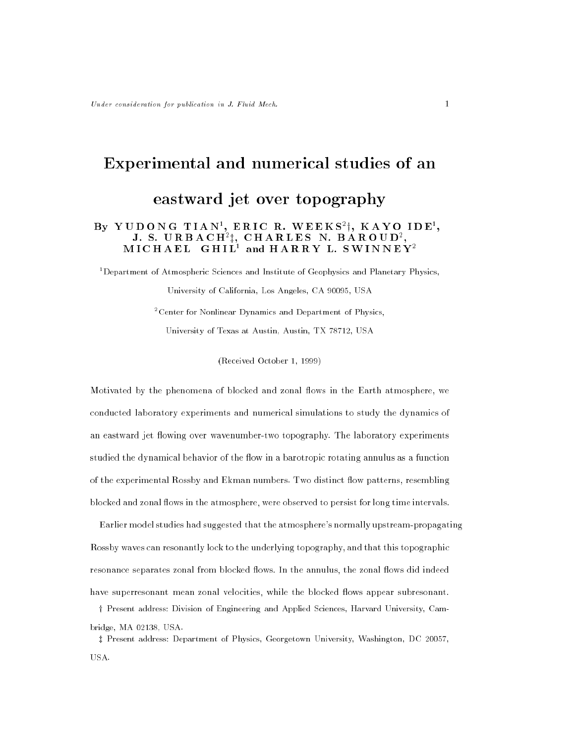# Experimental and numerical studies of an eastward jet over topography  $\begin{array}{lllllllllllllllllllll} \textbf{B}\textbf{y} & \textbf{Y} \cup \textbf{D} \textbf{O} \textbf{N} \textbf{G} & \textbf{I} \textbf{I} \textbf{A} \textbf{N}^{\textbf{z}}, \textbf{E} \textbf{R} \textbf{I} \textbf{C} & \textbf{R}, \textbf{B} \textbf{A} \textbf{R} \textbf{O} \textbf{U} \textbf{D}^{\textbf{z}}, \textbf{I}, \textbf{S} & \textbf{S} \textbf{A} \textbf{R} \textbf{O} \textbf{U} \textbf{D}^{\textbf$

<sup>1</sup> Department of Atmospheric Sciences and Institute of Geophysics and Planetary Physics,

University of California, Los Angeles, CA 90095, USA <sup>2</sup> Center for Nonlinear Dynamics and Department of Physics, University of Texas at Austin, Austin, TX 78712, USA

(Received October 1, 1999)

Motivated by the phenomena of blocked and zonal flows in the Earth atmosphere, we conducted laboratory experiments and numerical simulations to study the dynamics of an eastward jet flowing over wavenumber-two topography. The laboratory experiments studied the dynamical behavior of the flow in a barotropic rotating annulus as a function of the experimental Rossby and Ekman numbers. Two distinct flow patterns, resembling blocked and zonal flows in the atmosphere, were observed to persist for long time intervals.

Earlier model studies had suggested that the atmosphere's normally upstream-propagating Rossby waves can resonantly lock to the underlying topography, and that this topographic resonance separates zonal from blocked flows. In the annulus, the zonal flows did indeed have superresonant mean zonal velocities, while the blocked flows appear subresonant.

<sup>y</sup> Present address: Division of Engineering and Applied Sciences, Harvard University, Cambridge, MA 02138, USA.

<sup>z</sup> Present address: Department of Physics, Georgetown University, Washington, DC 20057, USA.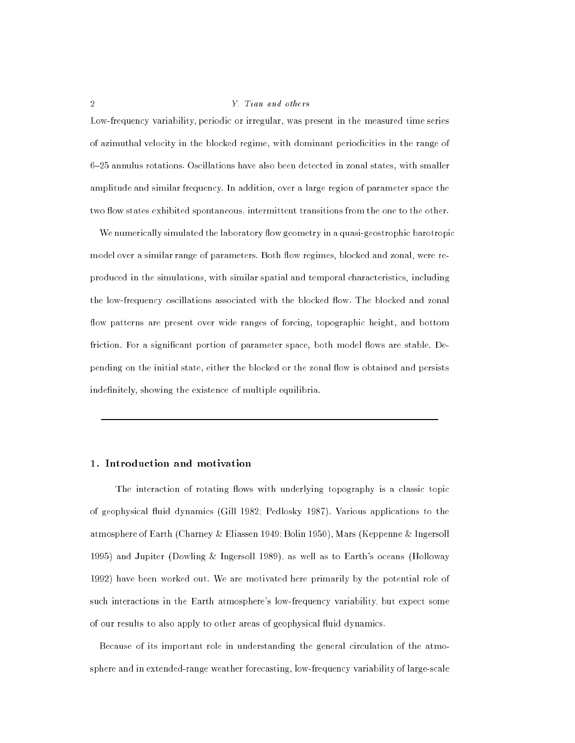Low-frequency variability, periodic or irregular, was present in the measured time series of azimuthal velocity in the blocked regime, with dominant periodicities in the range of 6{25 annulus rotations. Oscillations have also been detected in zonal states, with smaller amplitude and similar frequency. In addition, over a large region of parameter space the two flow states exhibited spontaneous, intermittent transitions from the one to the other.

We numerically simulated the laboratory flow geometry in a quasi-geostrophic barotropic model over a similar range of parameters. Both flow regimes, blocked and zonal, were reproduced in the simulations, with similar spatial and temporal characteristics, including the low-frequency oscillations associated with the blocked flow. The blocked and zonal flow patterns are present over wide ranges of forcing, topographic height, and bottom friction. For a significant portion of parameter space, both model flows are stable. Depending on the initial state, either the blocked or the zonal flow is obtained and persists indefinitely, showing the existence of multiple equilibria.

# 1. Introduction and motivation

The interaction of rotating flows with underlying topography is a classic topic of geophysical uid dynamics (Gill 1982; Pedlosky 1987). Various applications to the atmosphere of Earth (Charney & Eliassen 1949; Bolin 1950), Mars (Keppenne & Ingersoll 1995) and Jupiter (Dowling & Ingersoll 1989), as well as to Earth's oceans (Holloway 1992) have been worked out. We are motivated here primarily by the potential role of such interactions in the Earth atmosphere's low-frequency variability, but expect some of our results to also apply to other areas of geophysical fluid dynamics.

Because of its important role in understanding the general circulation of the atmosphere and in extended-range weather forecasting, low-frequency variability of large-scale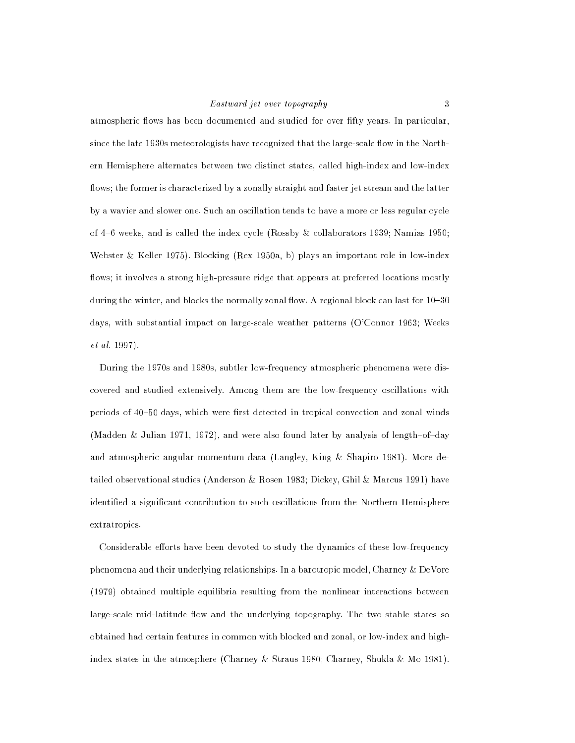# Eastward jet over topography 3

atmospheric flows has been documented and studied for over fifty years. In particular, since the late 1930s meteorologists have recognized that the large-scale flow in the Northern Hemisphere alternates between two distinct states, called high-index and low-index flows; the former is characterized by a zonally straight and faster jet stream and the latter by a wavier and slower one. Such an oscillation tends to have a more or less regular cycle of  $4-6$  weeks, and is called the index cycle (Rossby & collaborators 1939; Namias 1950; Webster & Keller 1975). Blocking (Rex 1950a, b) plays an important role in low-index flows; it involves a strong high-pressure ridge that appears at preferred locations mostly during the winter, and blocks the normally zonal flow. A regional block can last for  $10{-}30$ days, with substantial impact on large-scale weather patterns (O'Connor 1963; Weeks et al. 1997).

During the 1970s and 1980s, subtler low-frequency atmospheric phenomena were discovered and studied extensively. Among them are the low-frequency oscillations with periods of 40-50 days, which were first detected in tropical convection and zonal winds (Madden & Julian 1971, 1972), and were also found later by analysis of length-of-day and atmospheric angular momentum data (Langley, King & Shapiro 1981). More detailed observational studies (Anderson & Rosen 1983; Dickey, Ghil & Marcus 1991) have identified a significant contribution to such oscillations from the Northern Hemisphere extratropics.

Considerable efforts have been devoted to study the dynamics of these low-frequency phenomena and their underlying relationships. In a barotropic model, Charney & DeVore (1979) obtained multiple equilibria resulting from the nonlinear interactions between large-scale mid-latitude flow and the underlying topography. The two stable states so obtained had certain features in common with blocked and zonal, or low-index and highindex states in the atmosphere (Charney & Straus 1980; Charney, Shukla & Mo 1981).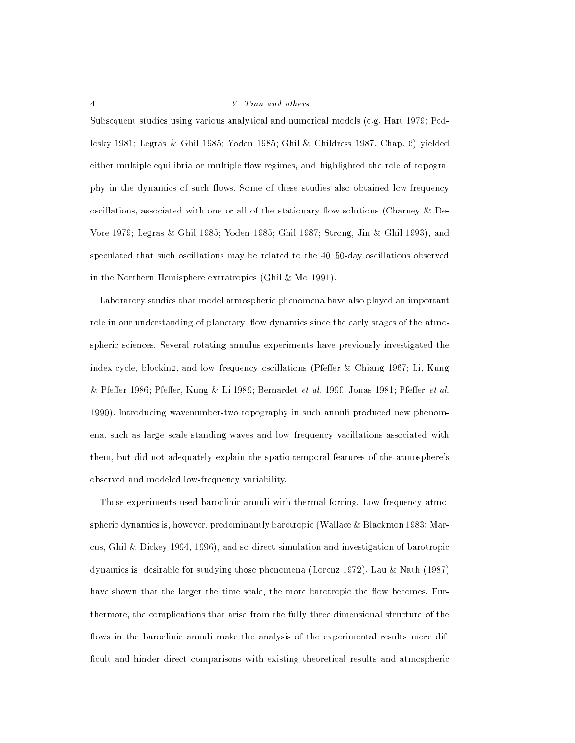Subsequent studies using various analytical and numerical models (e.g. Hart 1979; Pedlosky 1981; Legras & Ghil 1985; Yoden 1985; Ghil & Childress 1987, Chap. 6) yielded either multiple equilibria or multiple flow regimes, and highlighted the role of topography in the dynamics of such flows. Some of these studies also obtained low-frequency oscillations, associated with one or all of the stationary flow solutions (Charney & De-Vore 1979; Legras & Ghil 1985; Yoden 1985; Ghil 1987; Strong, Jin & Ghil 1993), and speculated that such oscillations may be related to the  $40-50$ -day oscillations observed in the Northern Hemisphere extratropics (Ghil & Mo 1991).

Laboratory studies that model atmospheric phenomena have also played an important role in our understanding of planetary–flow dynamics since the early stages of the atmospheric sciences. Several rotating annulus experiments have previously investigated the index cycle, blocking, and low-frequency oscillations (Pfeffer & Chiang 1967; Li, Kung  $\&$  Pfeffer 1986; Pfeffer, Kung  $\&$  Li 1989; Bernardet et al. 1990; Jonas 1981; Pfeffer et al. 1990). Introducing wavenumber-two topography in such annuli produced new phenomena, such as large-scale standing waves and low-frequency vacillations associated with them, but did not adequately explain the spatio-temporal features of the atmosphere's observed and modeled low-frequency variability.

Those experiments used baroclinic annuli with thermal forcing. Low-frequency atmospheric dynamics is, however, predominantly barotropic (Wallace & Blackmon 1983; Marcus, Ghil & Dickey 1994, 1996), and so direct simulation and investigation of barotropic dynamics is desirable for studying those phenomena (Lorenz 1972). Lau & Nath (1987) have shown that the larger the time scale, the more barotropic the flow becomes. Furthermore, the complications that arise from the fully three-dimensional structure of the flows in the baroclinic annuli make the analysis of the experimental results more difficult and hinder direct comparisons with existing theoretical results and atmospheric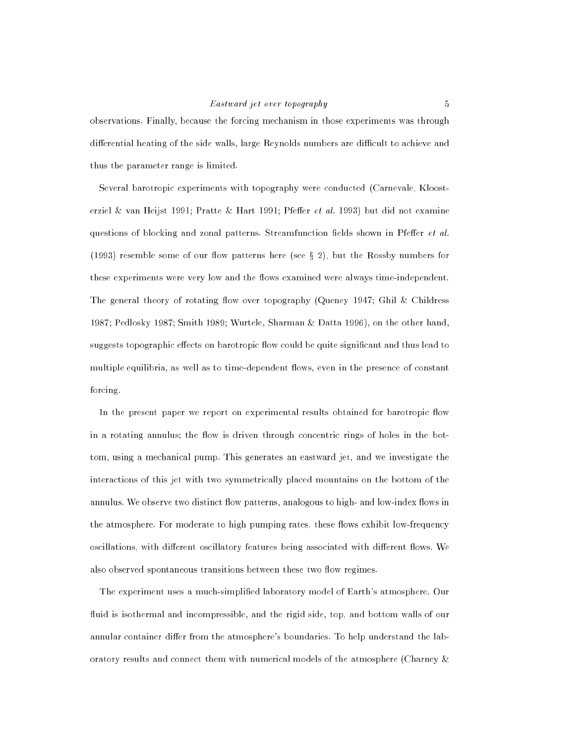# Eastward jet over topography 5

observations. Finally, because the forcing mechanism in those experiments was through differential heating of the side walls, large Reynolds numbers are difficult to achieve and thus the parameter range is limited.

Several barotropic experiments with topography were conducted (Carnevale, Kloosterziel & van Heijst 1991; Pratte & Hart 1991; Pfeffer et al. 1993) but did not examine questions of blocking and zonal patterns. Streamfunction fields shown in Pfeffer  $et$  al. (1993) resemble some of our flow patterns here (see  $\S 2$ ), but the Rossby numbers for these experiments were very low and the flows examined were always time-independent. The general theory of rotating flow over topography (Queney 1947; Ghil & Childress 1987; Pedlosky 1987; Smith 1989; Wurtele, Sharman & Datta 1996), on the other hand, suggests topographic effects on barotropic flow could be quite significant and thus lead to multiple equilibria, as well as to time-dependent flows, even in the presence of constant forcing.

In the present paper we report on experimental results obtained for barotropic flow in a rotating annulus; the flow is driven through concentric rings of holes in the bottom, using a mechanical pump. This generates an eastward jet, and we investigate the interactions of this jet with two symmetrically placed mountains on the bottom of the annulus. We observe two distinct flow patterns, analogous to high- and low-index flows in the atmosphere. For moderate to high pumping rates, these flows exhibit low-frequency oscillations, with different oscillatory features being associated with different flows. We also observed spontaneous transitions between these two flow regimes.

The experiment uses a much-simplied laboratory model of Earth's atmosphere. Our fluid is isothermal and incompressible, and the rigid side, top, and bottom walls of our annular container differ from the atmosphere's boundaries. To help understand the laboratory results and connect them with numerical models of the atmosphere (Charney &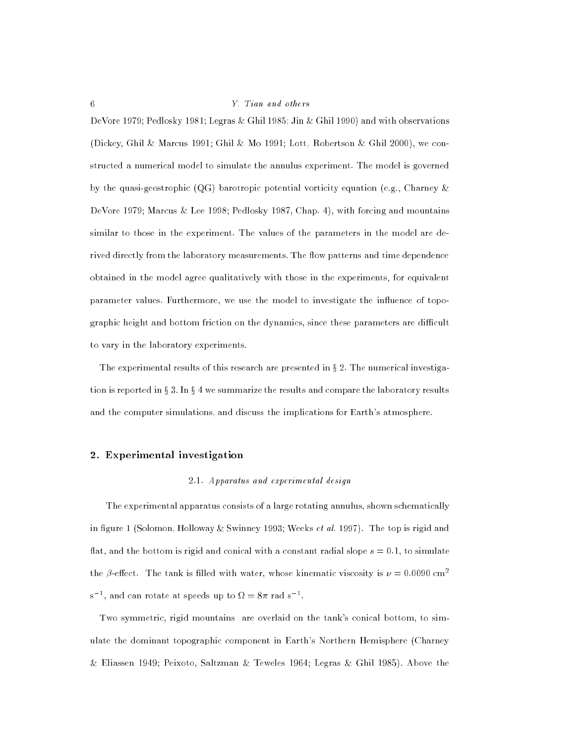# $6 \t\t Y.$  Tian and others

DeVore 1979; Pedlosky 1981; Legras & Ghil 1985; Jin & Ghil 1990) and with observations (Dickey, Ghil & Marcus 1991; Ghil & Mo 1991; Lott, Robertson & Ghil 2000), we constructed a numerical model to simulate the annulus experiment. The model is governed by the quasi-geostrophic (QG) barotropic potential vorticity equation (e.g., Charney & DeVore 1979; Marcus & Lee 1998; Pedlosky 1987, Chap. 4), with forcing and mountains similar to those in the experiment. The values of the parameters in the model are derived directly from the laboratory measurements. The flow patterns and time dependence obtained in the model agree qualitatively with those in the experiments, for equivalent parameter values. Furthermore, we use the model to investigate the influence of topographic height and bottom friction on the dynamics, since these parameters are difficult to vary in the laboratory experiments.

The experimental results of this research are presented in  $\S 2$ . The numerical investigation is reported in  $\S 3$ . In  $\S 4$  we summarize the results and compare the laboratory results and the computer simulations, and discuss the implications for Earth's atmosphere.

#### 2. Experimental investigation

#### 2.1. Apparatus and experimental design

The experimental apparatus consists of a large rotating annulus, shown schematically in figure 1 (Solomon, Holloway & Swinney 1993; Weeks *et al.* 1997). The top is rigid and flat, and the bottom is rigid and conical with a constant radial slope  $s = 0.1$ , to simulate the  $\beta$ -effect. The tank is filled with water, whose kinematic viscosity is  $\nu = 0.0090$  cm<sup>2</sup> s  $\,$  , and can rotate at speeds up to  $\Omega = 8\pi$  rad s  $\,$  .

Two symmetric, rigid mountains are overlaid on the tank's conical bottom, to simulate the dominant topographic component in Earth's Northern Hemisphere (Charney & Eliassen 1949; Peixoto, Saltzman & Teweles 1964; Legras & Ghil 1985). Above the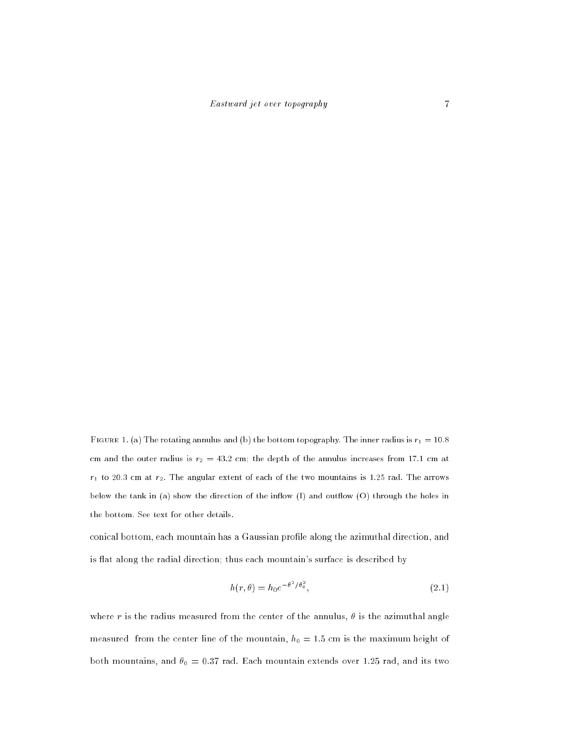FIGURE 1. (a) The rotating annulus and (b) the bottom topography. The inner radius is  $r_1 = 10.8$ cm and the outer radius is  $r_2 = 43.2$  cm; the depth of the annulus increases from 17.1 cm at  $r_1$  to 20.3 cm at  $r_2$ . The angular extent of each of the two mountains is 1.25 rad. The arrows below the tank in (a) show the direction of the inflow (I) and outflow (O) through the holes in the bottom. See text for other details.

conical bottom, each mountain has a Gaussian profile along the azimuthal direction, and is flat along the radial direction; thus each mountain's surface is described by

$$
h(r,\theta) = h_0 e^{-\theta^2/\theta_0^2},
$$
\n(2.1)

where r is the radius measured from the center of the annulus,  $\theta$  is the azimuthal angle measured from the center line of the mountain,  $h_0 = 1.5$  cm is the maximum height of both mountains, and  $\theta_0 = 0.37$  rad. Each mountain extends over 1.25 rad, and its two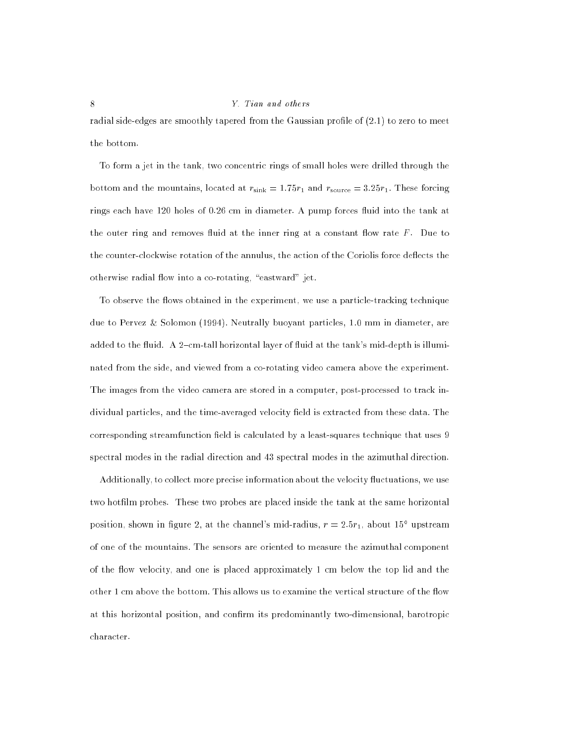radial side-edges are smoothly tapered from the Gaussian profile of  $(2.1)$  to zero to meet the bottom.

To form a jet in the tank, two concentric rings of small holes were drilled through the bottom and the mountains, located at  $r_{\text{sink}} = 1.75r_1$  and  $r_{\text{source}} = 3.25r_1$ . These forcing rings each have 120 holes of 0.26 cm in diameter. A pump forces fluid into the tank at the outer ring and removes fluid at the inner ring at a constant flow rate  $F$ . Due to the counter-clockwise rotation of the annulus, the action of the Coriolis force deflects the otherwise radial flow into a co-rotating, "eastward" jet.

To observe the flows obtained in the experiment, we use a particle-tracking technique due to Pervez & Solomon (1994). Neutrally buoyant particles, 1.0 mm in diameter, are added to the fluid. A 2-cm-tall horizontal layer of fluid at the tank's mid-depth is illuminated from the side, and viewed from a co-rotating video camera above the experiment. The images from the video camera are stored in a computer, post-processed to track individual particles, and the time-averaged velocity field is extracted from these data. The corresponding streamfunction field is calculated by a least-squares technique that uses 9 spectral modes in the radial direction and 43 spectral modes in the azimuthal direction.

Additionally, to collect more precise information about the velocity fluctuations, we use two hotfilm probes. These two probes are placed inside the tank at the same horizontal position, shown in figure 2, at the channel's mid-radius,  $r = 2.5r_1$ , about  $15^{\circ}$  upstream of one of the mountains. The sensors are oriented to measure the azimuthal component of the flow velocity, and one is placed approximately 1 cm below the top lid and the other 1 cm above the bottom. This allows us to examine the vertical structure of the flow at this horizontal position, and confirm its predominantly two-dimensional, barotropic character.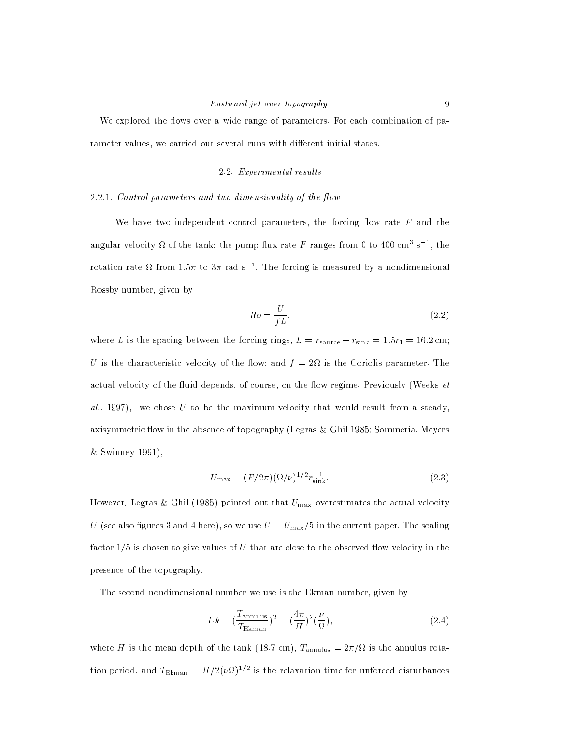# Eastward jet over topography 9

We explored the flows over a wide range of parameters. For each combination of parameter values, we carried out several runs with different initial states.

# 2.2. Experimental results

#### $2.2.1.$  Control parameters and two-dimensionality of the flow

We have two independent control parameters, the forcing flow rate  $F$  and the angular velocity  $\Omega$  of the tank: the pump flux rate F ranges from 0 to 400 cm<sup>3</sup> s<sup>-1</sup>, the rotation rate  $\Omega$  from 1.5 $\pi$  to 3 $\pi$  rad s  $^+$ . The forcing is measured by a nondimensional Rossby number, given by

$$
Ro = \frac{U}{fL},\tag{2.2}
$$

where L is the spacing between the forcing rings,  $L = r_{source} - r_{sink} = 1.5r_1 = 16.2$  cm; U is the characteristic velocity of the flow; and  $f = 2\Omega$  is the Coriolis parameter. The actual velocity of the fluid depends, of course, on the flow regime. Previously (Weeks  $et$  $al.$ , 1997), we chose U to be the maximum velocity that would result from a steady, axisymmetric flow in the absence of topography (Legras & Ghil 1985; Sommeria, Meyers & Swinney 1991),

$$
U_{\text{max}} = (F/2\pi)(\Omega/\nu)^{1/2} r_{\text{sink}}^{-1}.
$$
\n(2.3)

However, Legras & Ghil (1985) pointed out that  $U_{\text{max}}$  overestimates the actual velocity U (see also figures 3 and 4 here), so we use  $U = U_{\text{max}}/5$  in the current paper. The scaling factor  $1/5$  is chosen to give values of U that are close to the observed flow velocity in the presence of the topography.

The second nondimensional number we use is the Ekman number, given by

$$
Ek = \left(\frac{T_{\text{annulus}}}{T_{\text{Ekman}}}\right)^2 = \left(\frac{4\pi}{H}\right)^2 \left(\frac{\nu}{\Omega}\right),\tag{2.4}
$$

where H is the mean depth of the tank (18.7 cm),  $T_{\text{annulus}} = 2\pi/\Omega$  is the annulus rotation period, and  $T_{\rm Ekman} = H/2(\nu \Omega)^{1/2}$  is the relaxation time for unforced disturbances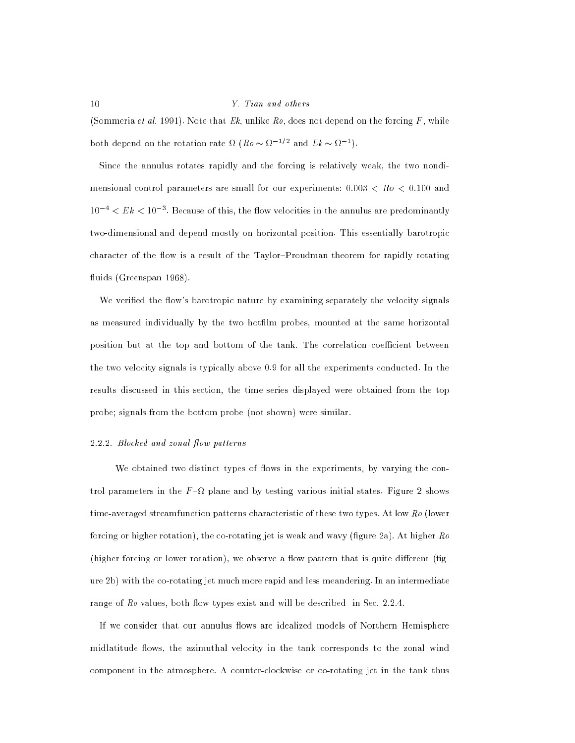(Sommeria et al. 1991). Note that  $Ek$ , unlike  $Ro$ , does not depend on the forcing  $F$ , while both depend on the rotation rate  $\Omega$  ( $\Lambda$ o  $\sim$   $\Omega$   $^{-1}$  and  $EK \sim \Omega$   $^{-1}$ ).

Since the annulus rotates rapidly and the forcing is relatively weak, the two nondimensional control parameters are small for our experiments:  $0.003 < Ro < 0.100$  and  $10^{-4} < E k < 10^{-3}$ . Because of this, the flow velocities in the annulus are predominantly two-dimensional and depend mostly on horizontal position. This essentially barotropic character of the flow is a result of the Taylor-Proudman theorem for rapidly rotating fluids (Greenspan 1968).

We verified the flow's barotropic nature by examining separately the velocity signals as measured individually by the two hotfilm probes, mounted at the same horizontal position but at the top and bottom of the tank. The correlation coefficient between the two velocity signals is typically above 0.9 for all the experiments conducted. In the results discussed in this section, the time series displayed were obtained from the top probe; signals from the bottom probe (not shown) were similar.

#### 2.2.2. Blocked and zonal flow patterns

We obtained two distinct types of flows in the experiments, by varying the control parameters in the  $F-\Omega$  plane and by testing various initial states. Figure 2 shows time-averaged streamfunction patterns characteristic of these two types. At low Ro (lower forcing or higher rotation), the co-rotating jet is weak and wavy (figure 2a). At higher  $Ro$ (higher forcing or lower rotation), we observe a flow pattern that is quite different  $\text{fig}_\text{-}$ ure 2b) with the co-rotating jet much more rapid and less meandering. In an intermediate range of  $Ro$  values, both flow types exist and will be described in Sec. 2.2.4.

If we consider that our annulus flows are idealized models of Northern Hemisphere midlatitude flows, the azimuthal velocity in the tank corresponds to the zonal wind component in the atmosphere. A counter-clockwise or co-rotating jet in the tank thus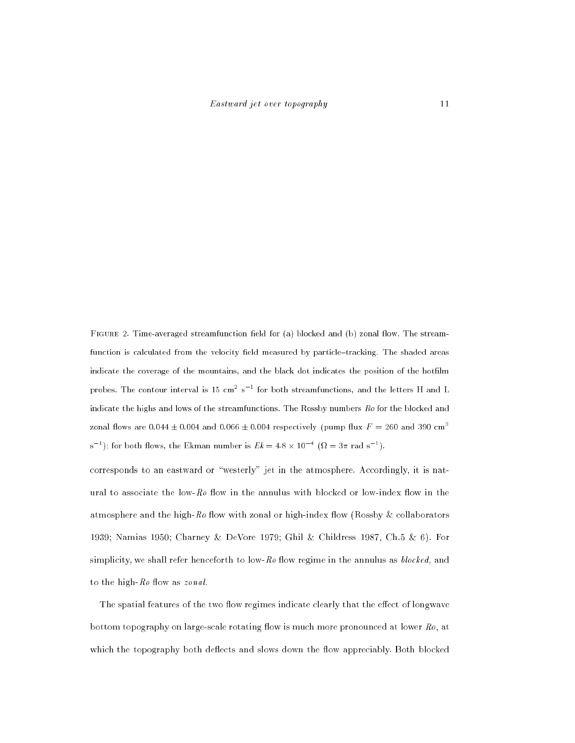FIGURE 2. Time-averaged streamfunction field for (a) blocked and (b) zonal flow. The streamfunction is calculated from the velocity field measured by particle-tracking. The shaded areas indicate the coverage of the mountains, and the black dot indicates the position of the hotfilm probes. The contour interval is 15 cm~ s i for both streamfunctions, and the letters H and L indicate the highs and lows of the streamfunctions. The Rossby numbers  $Ro$  for the blocked and zonal flows are 0.044  $\pm$  0.004 and 0.066  $\pm$  0.004 respectively (pump flux F = 260 and 390 cm<sup>3</sup> s [); for both flows, the Ekman number is  $E\kappa = 4.8 \times 10^{-7}$  ( $\Omega = 3\pi$  rad s [).

corresponds to an eastward or "westerly" jet in the atmosphere. Accordingly, it is natural to associate the low- $Ro$  flow in the annulus with blocked or low-index flow in the atmosphere and the high-Ro flow with zonal or high-index flow (Rossby & collaborators 1939; Namias 1950; Charney & DeVore 1979; Ghil & Childress 1987, Ch.5 & 6). For simplicity, we shall refer henceforth to low- $Ro$  flow regime in the annulus as *blocked*, and to the high- $Ro$  flow as  $zonal$ .

The spatial features of the two flow regimes indicate clearly that the effect of longwave bottom topography on large-scale rotating flow is much more pronounced at lower  $Ro$ , at which the topography both deflects and slows down the flow appreciably. Both blocked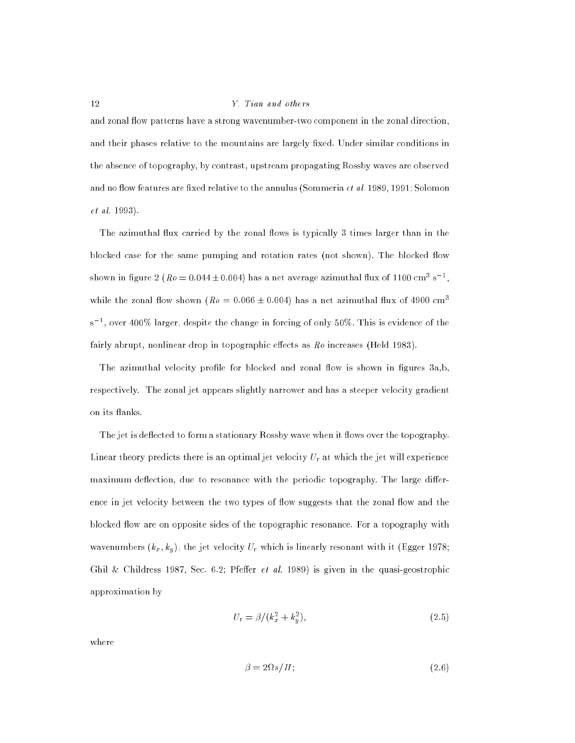and zonal flow patterns have a strong wavenumber-two component in the zonal direction, and their phases relative to the mountains are largely fixed. Under similar conditions in the absence of topography, by contrast, upstream propagating Rossby waves are observed and no flow features are fixed relative to the annulus (Sommeria *et al.* 1989, 1991; Solomon et al. 1993).

The azimuthal flux carried by the zonal flows is typically 3 times larger than in the blocked case for the same pumping and rotation rates (not shown). The blocked flow snown in ligure  $2$  (  $\hbar\vartheta \equiv 0.044 \pm 0.004$ ) has a net average azimuthal liux of 1100 cm $^{\circ}$  s  $^{-},$ while the zonal flow shown  $(Ro = 0.066 \pm 0.004)$  has a net azimuthal flux of 4900 cm<sup>3</sup> s =, over 400% larger, despite the change in forcing of only 50%. This is evidence of the fairly abrupt, nonlinear drop in topographic effects as  $Ro$  increases (Held 1983).

The azimuthal velocity profile for blocked and zonal flow is shown in figures  $3a,b$ , respectively. The zonal jet appears slightly narrower and has a steeper velocity gradient on its flanks.

The jet is deflected to form a stationary Rossby wave when it flows over the topography. Linear theory predicts there is an optimal jet velocity  $U_r$  at which the jet will experience maximum deflection, due to resonance with the periodic topography. The large difference in jet velocity between the two types of flow suggests that the zonal flow and the blocked flow are on opposite sides of the topographic resonance. For a topography with wavenumbers  $(k_x, k_y)$ , the jet velocity  $U_r$  which is linearly resonant with it (Egger 1978; Ghil & Childress 1987, Sec. 6.2; Pfeffer et al. 1989) is given in the quasi-geostrophic approximation by

$$
U_{\rm r} = \beta / (k_x^2 + k_y^2),\tag{2.5}
$$

where

$$
\beta = 2\Omega s / H; \tag{2.6}
$$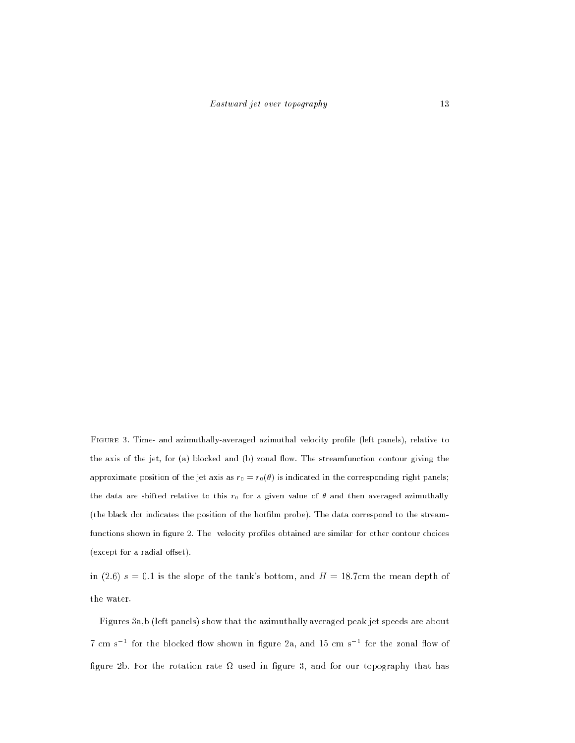FIGURE 3. Time- and azimuthally-averaged azimuthal velocity profile (left panels), relative to the axis of the jet, for (a) blocked and (b) zonal flow. The streamfunction contour giving the approximate position of the jet axis as  $r_0 = r_0(\theta)$  is indicated in the corresponding right panels; the data are shifted relative to this  $r_0$  for a given value of  $\theta$  and then averaged azimuthally (the black dot indicates the position of the hotlm probe). The data correspond to the streamfunctions shown in figure 2. The velocity profiles obtained are similar for other contour choices  $(except for a radial offset).$ 

in (2.6)  $s = 0.1$  is the slope of the tank's bottom, and  $H = 18.7$ cm the mean depth of the water.

Figures 3a,b (left panels) show that the azimuthally averaged peak jet speeds are about f cm s = for the blocked how shown in ligure za, and 15 cm s = for the zonal how of gure 2b. For the rotation rate used in gure 3, and for our topography that has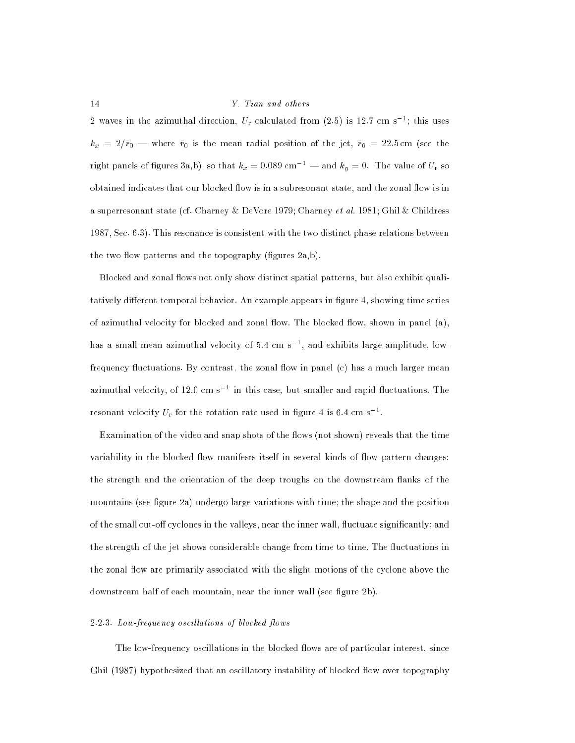2 waves in the azimuthal direction,  $U_r$  calculated from (2.5) is 12.7 cm s<sup>-1</sup>; this uses  $k_x = 2/\bar{r}_0$  – where  $\bar{r}_0$  is the mean radial position of the jet,  $\bar{r}_0 = 22.5$  cm (see the right panels of figures 3a,b), so that  $k_x = 0.089$  cm<sup>-1</sup> — and  $k_y = 0$ . The value of  $U_r$  so obtained indicates that our blocked flow is in a subresonant state, and the zonal flow is in a superresonant state (cf. Charney & DeVore 1979; Charney et al. 1981; Ghil & Childress 1987, Sec. 6.3). This resonance is consistent with the two distinct phase relations between the two flow patterns and the topography (figures  $2a,b$ ).

Blocked and zonal flows not only show distinct spatial patterns, but also exhibit qualitatively different temporal behavior. An example appears in figure 4, showing time series of azimuthal velocity for blocked and zonal flow. The blocked flow, shown in panel  $(a)$ , has a small mean azimuthal velocity of 5.4 cm s1 , and exhibits large-amplitude, lowfrequency fluctuations. By contrast, the zonal flow in panel  $(c)$  has a much larger mean azimuthal velocity, of 12.0 cm s  $\,$  = in this case, but smaller and rapid fluctuations. The resonant velocity  $U_{\rm r}$  for the rotation rate used in figure 4 is 6.4 cm s<sup>-1</sup>.

Examination of the video and snap shots of the flows (not shown) reveals that the time variability in the blocked flow manifests itself in several kinds of flow pattern changes: the strength and the orientation of the deep troughs on the downstream flanks of the mountains (see figure  $2a$ ) undergo large variations with time; the shape and the position of the small cut-off cyclones in the valleys, near the inner wall, fluctuate significantly; and the strength of the jet shows considerable change from time to time. The fluctuations in the zonal flow are primarily associated with the slight motions of the cyclone above the downstream half of each mountain, near the inner wall (see figure 2b).

#### $2.2.3.$  Low-frequency oscillations of blocked flows

The low-frequency oscillations in the blocked flows are of particular interest, since Ghil (1987) hypothesized that an oscillatory instability of blocked flow over topography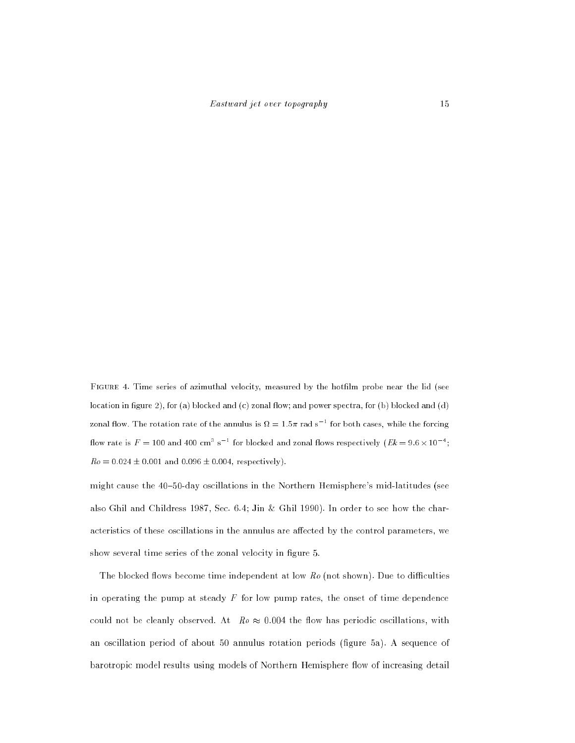FIGURE 4. Time series of azimuthal velocity, measured by the hotfilm probe near the lid (see location in figure 2), for (a) blocked and  $(c)$  zonal flow; and power spectra, for  $(b)$  blocked and  $(d)$ zonal flow. The rotation rate of the annulus is  $M=1.5\pi$  rad s  $^{-1}$  for both cases, while the forcing flow rate is  $F = 100$  and  $400 \text{ cm}^3 \text{ s}^{-1}$  for blocked and zonal flows respectively (Ek =  $9.6 \times 10^{-4}$ ;  $Ro = 0.024 \pm 0.001$  and  $0.096 \pm 0.004$ , respectively).

might cause the 40-50-day oscillations in the Northern Hemisphere's mid-latitudes (see also Ghil and Childress 1987, Sec. 6.4; Jin & Ghil 1990). In order to see how the characteristics of these oscillations in the annulus are affected by the control parameters, we show several time series of the zonal velocity in figure 5.

The blocked flows become time independent at low  $Ro$  (not shown). Due to difficulties in operating the pump at steady  $F$  for low pump rates, the onset of time dependence could not be cleanly observed. At  $Ro \approx 0.004$  the flow has periodic oscillations, with an oscillation period of about 50 annulus rotation periods (gure 5a). A sequence of barotropic model results using models of Northern Hemisphere flow of increasing detail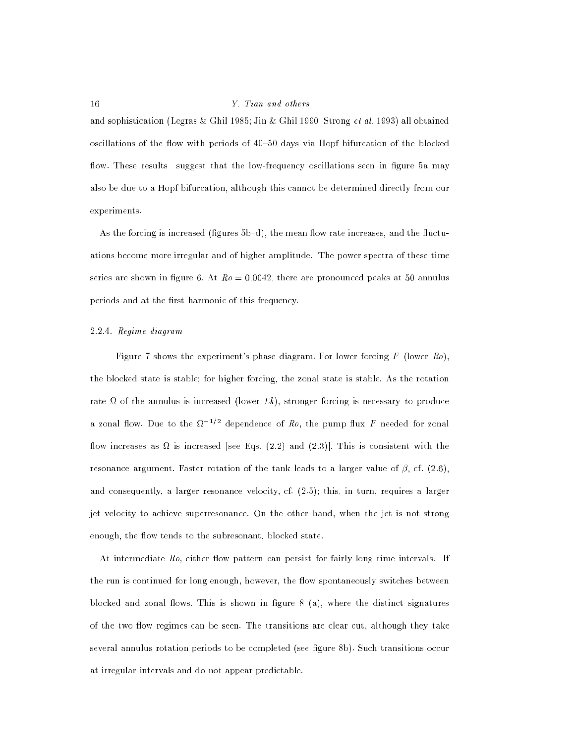and sophistication (Legras & Ghil 1985; Jin & Ghil 1990; Strong et al. 1993) all obtained oscillations of the flow with periods of 40-50 days via Hopf bifurcation of the blocked flow. These results suggest that the low-frequency oscillations seen in figure 5a may also be due to a Hopf bifurcation, although this cannot be determined directly from our experiments.

As the forcing is increased (figures 5b-d), the mean flow rate increases, and the fluctuations become more irregular and of higher amplitude. The power spectra of these time series are shown in figure 6. At  $Ro = 0.0042$ , there are pronounced peaks at 50 annulus periods and at the first harmonic of this frequency.

#### 2.2.4. Regime diagram

Figure 7 shows the experiment's phase diagram. For lower forcing  $F$  (lower  $Ro$ ), the blocked state is stable; for higher forcing, the zonal state is stable. As the rotation rate of the annulus is increased (lower Ek), stronger forcing is necessary to produce a zonal flow. Due to the  $\Omega^{-1/2}$  dependence of R<sub>o</sub>, the pump flux F needed for zonal ow increases as is increased [see Eqs. (2.2) and (2.3)]. This is consistent with the resonance argument. Faster rotation of the tank leads to a larger value of  $\beta$ , cf. (2.6), and consequently, a larger resonance velocity, cf. (2.5); this, in turn, requires a larger jet velocity to achieve superresonance. On the other hand, when the jet is not strong enough, the flow tends to the subresonant, blocked state.

At intermediate  $Ro$ , either flow pattern can persist for fairly long time intervals. If the run is continued for long enough, however, the flow spontaneously switches between blocked and zonal flows. This is shown in figure  $8$  (a), where the distinct signatures of the two flow regimes can be seen. The transitions are clear cut, although they take several annulus rotation periods to be completed (see figure 8b). Such transitions occur at irregular intervals and do not appear predictable.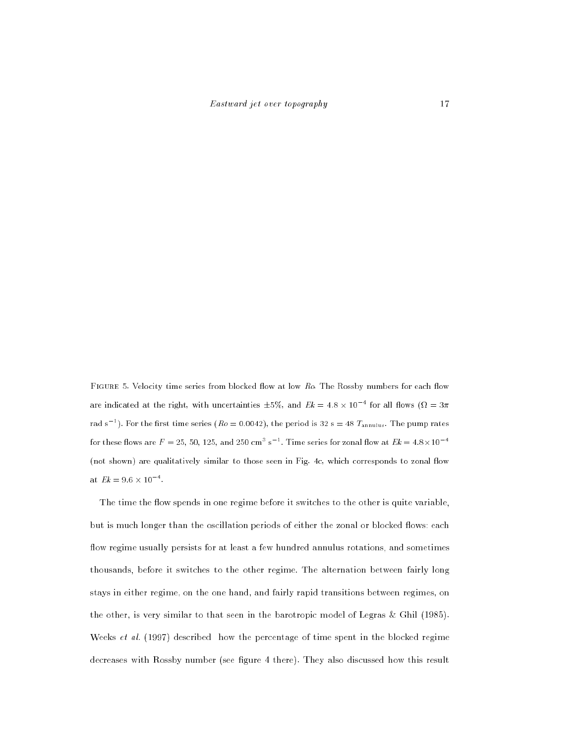FIGURE 5. Velocity time series from blocked flow at low Ro. The Rossby numbers for each flow are indicated at the right, with uncertainties  $\pm$ 5%, and  $E\kappa=$  4.8  $\times$  10  $^{-}$  for all flows ( $\Omega=$  3 $\pi$ rad s<sup>-1</sup>). For the first time series ( $Ro = 0.0042$ ), the period is 32 s = 48  $T_{\text{annulus}}$ . The pump rates for these flows are  $F=$  25, 50, 125, and 250 cm $^{\circ}$  s  $^{-1}$  . Time series for zonal flow at  $Ek = 4.8 \times 10^{-4}$ (not shown) are qualitatively similar to those seen in Fig. 4c, which corresponds to zonal flow at  $Ek = 9.6 \times 10^{-4}$ .

The time the flow spends in one regime before it switches to the other is quite variable. but is much longer than the oscillation periods of either the zonal or blocked flows: each flow regime usually persists for at least a few hundred annulus rotations, and sometimes thousands, before it switches to the other regime. The alternation between fairly long stays in either regime, on the one hand, and fairly rapid transitions between regimes, on the other, is very similar to that seen in the barotropic model of Legras & Ghil (1985). Weeks et al. (1997) described how the percentage of time spent in the blocked regime decreases with Rossby number (see figure 4 there). They also discussed how this result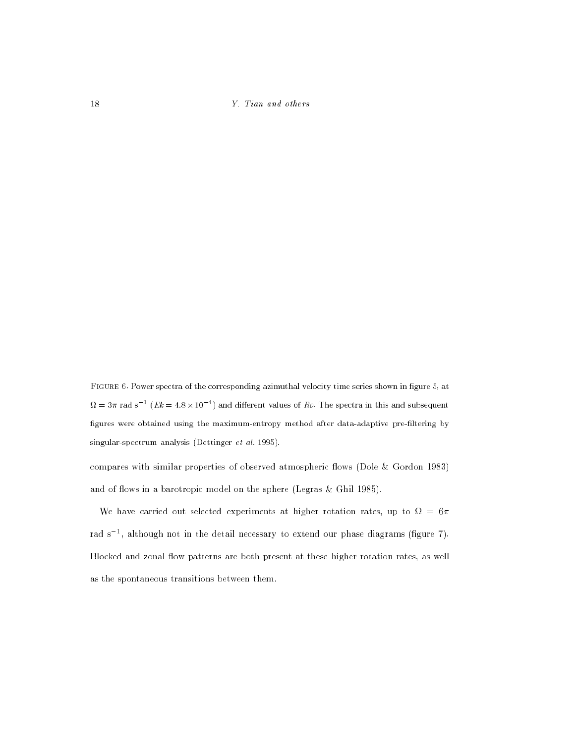FIGURE 6. Power spectra of the corresponding azimuthal velocity time series shown in figure 5, at  $\Omega = 3\pi$  rad s  $^{-}$  (  $E\kappa = 4.8 \times 10^{-5}$  ) and different values of Ro. The spectra in this and subsequent figures were obtained using the maximum-entropy method after data-adaptive pre-filtering by singular-spectrum analysis (Dettinger et al. 1995).

compares with similar properties of observed atmospheric flows (Dole & Gordon 1983) and of flows in a barotropic model on the sphere (Legras & Ghil 1985).

We have carried out selected experiments at higher rotation rates, up to  $\Omega = 6\pi$ rad s =, although not in the detail necessary to extend our phase diagrams (figure 7). Blocked and zonal flow patterns are both present at these higher rotation rates, as well as the spontaneous transitions between them.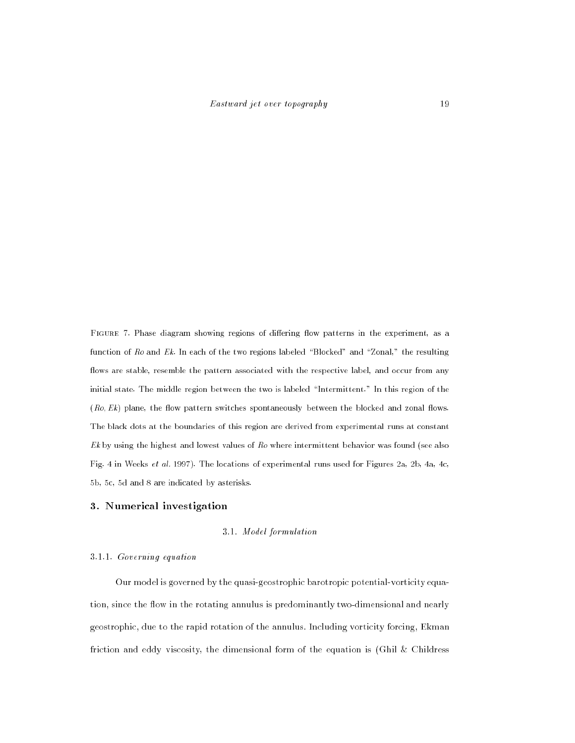FIGURE 7. Phase diagram showing regions of differing flow patterns in the experiment, as a function of  $Ro$  and  $Ek$ . In each of the two regions labeled "Blocked" and "Zonal," the resulting flows are stable, resemble the pattern associated with the respective label, and occur from any initial state. The middle region between the two is labeled \Intermittent." In this region of the  $(Ro, Ek)$  plane, the flow pattern switches spontaneously between the blocked and zonal flows. The black dots at the boundaries of this region are derived from experimental runs at constant  $E<sub>k</sub>$  by using the highest and lowest values of  $Ro$  where intermittent behavior was found (see also Fig. 4 in Weeks et al. 1997). The locations of experimental runs used for Figures 2a, 2b, 4a, 4c, 5b, 5c, 5d and 8 are indicated by asterisks.

#### 3. Numerical investigation

### 3.1. Model formulation

#### 3.1.1. Governing equation

Our model is governed by the quasi-geostrophic barotropic potential-vorticity equation, since the flow in the rotating annulus is predominantly two-dimensional and nearly geostrophic, due to the rapid rotation of the annulus. Including vorticity forcing, Ekman friction and eddy viscosity, the dimensional form of the equation is (Ghil & Childress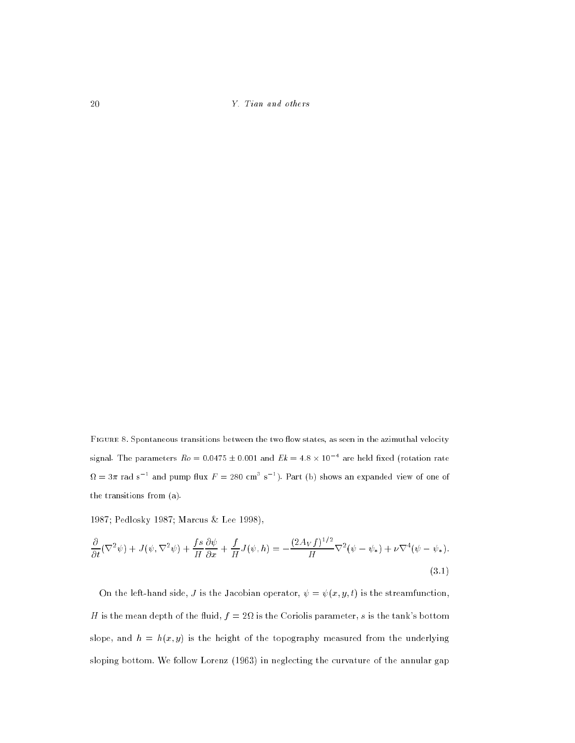FIGURE 8. Spontaneous transitions between the two flow states, as seen in the azimuthal velocity signal. The parameters  $Ro=0.04$ 75  $\pm$  0.001 and  $Ek=4.8\times 10^{-5}$  are held fixed (rotation rate  $\Omega = 3\pi$  rad s<sup>-1</sup> and pump flux  $F = 280$  cm<sup>3</sup> s<sup>-1</sup>). Part (b) shows an expanded view of one of the transitions from (a).

1987; Pedlosky 1987; Marcus & Lee 1998),

$$
\frac{\partial}{\partial t}(\nabla^2\psi) + J(\psi, \nabla^2\psi) + \frac{fs}{H}\frac{\partial\psi}{\partial x} + \frac{f}{H}J(\psi, h) = -\frac{(2A_Vf)^{1/2}}{H}\nabla^2(\psi - \psi_*) + \nu\nabla^4(\psi - \psi_*). \tag{3.1}
$$

On the left-hand side, J is the Jacobian operator,  $\psi = \psi(x, y, t)$  is the streamfunction, H is the mean depth of the fluid,  $f=2\Omega$  is the Coriolis parameter,  $s$  is the tank's bottom slope, and  $h = h(x, y)$  is the height of the topography measured from the underlying sloping bottom. We follow Lorenz (1963) in neglecting the curvature of the annular gap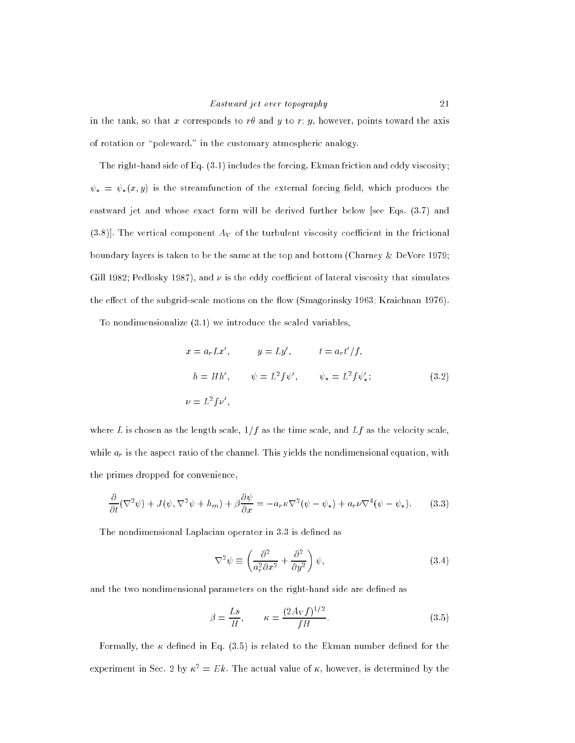in the tank, so that x corresponds to  $r\theta$  and y to r; y, however, points toward the axis of rotation or \poleward," in the customary atmospheric analogy.

The right-hand side of Eq. (3.1) includes the forcing, Ekman friction and eddy viscosity;  $\psi_* = \psi_*(x, y)$  is the streamfunction of the external forcing field, which produces the eastward jet and whose exact form will be derived further below [see Eqs. (3.7) and  $(3.8)$ . The vertical component  $A_V$  of the turbulent viscosity coefficient in the frictional boundary layers is taken to be the same at the top and bottom (Charney & DeVore 1979; Gill 1982; Pedlosky 1987), and  $\nu$  is the eddy coefficient of lateral viscosity that simulates the effect of the subgrid-scale motions on the flow (Smagorinsky 1963; Kraichnan 1976).

To nondimensionalize (3.1) we introduce the scaled variables,

$$
x = a_r L x', \qquad y = L y', \qquad t = a_r t'/f,
$$
  
\n
$$
h = H h', \qquad \psi = L^2 f \psi', \qquad \psi_* = L^2 f \psi'_*;
$$
  
\n
$$
\psi = L^2 f \psi', \qquad \psi_* = L^2 f \psi'_*;
$$
  
\n(3.2)

where L is chosen as the length scale,  $1/f$  as the time scale, and Lf as the velocity scale, while  $a_r$  is the aspect ratio of the channel. This yields the nondimensional equation, with the primes dropped for convenience,

$$
\frac{\partial}{\partial t}(\nabla^2 \psi) + J(\psi, \nabla^2 \psi + h_m) + \beta \frac{\partial \psi}{\partial x} = -a_r \kappa \nabla^2 (\psi - \psi_*) + a_r \nu \nabla^4 (\psi - \psi_*)
$$
 (3.3)

The nondimensional Laplacian operator in 3.3 is defined as

$$
\nabla^2 \psi \equiv \left(\frac{\partial^2}{a_r^2 \partial x^2} + \frac{\partial^2}{\partial y^2}\right) \psi,\tag{3.4}
$$

and the two nondimensional parameters on the right-hand side are defined as

$$
\beta = \frac{Ls}{H}, \qquad \kappa = \frac{(2A_V f)^{1/2}}{fH}.
$$
\n(3.5)

Formally, the  $\kappa$  defined in Eq. (3.5) is related to the Ekman number defined for the experiment in Sec. 2 by  $\kappa^2 = Ek$ . The actual value of  $\kappa$ , however, is determined by the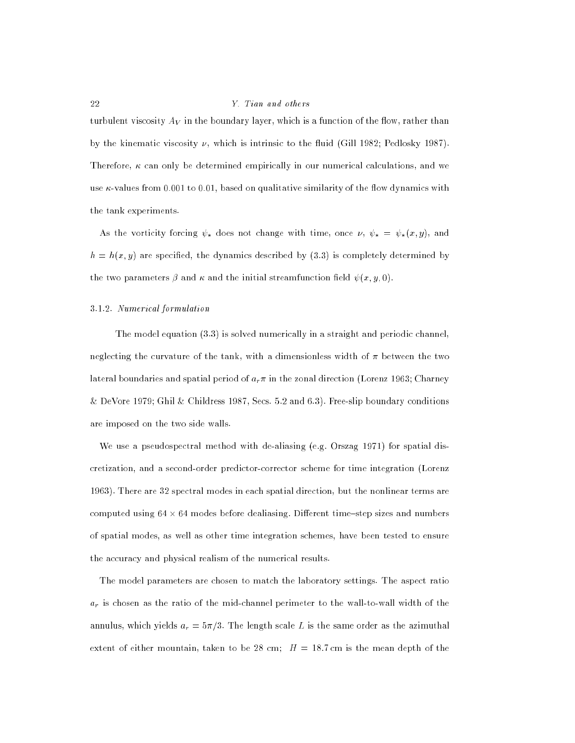turbulent viscosity  $A_V$  in the boundary layer, which is a function of the flow, rather than by the kinematic viscosity  $\nu$ , which is intrinsic to the fluid (Gill 1982; Pedlosky 1987). Therefore,  $\kappa$  can only be determined empirically in our numerical calculations, and we use  $\kappa$ -values from 0.001 to 0.01, based on qualitative similarity of the flow dynamics with the tank experiments.

As the vorticity forcing  $\psi_*$  does not change with time, once  $\nu$ ,  $\psi_* = \psi_*(x, y)$ , and  $h = h(x, y)$  are specified, the dynamics described by (3.3) is completely determined by the two parameters  $\beta$  and  $\kappa$  and the initial streamfunction field  $\psi(x, y, 0)$ .

#### 3.1.2. Numerical formulation

The model equation (3.3) is solved numerically in a straight and periodic channel, neglecting the curvature of the tank, with a dimensionless width of  $\pi$  between the two lateral boundaries and spatial period of  $a_r \pi$  in the zonal direction (Lorenz 1963; Charney  $\&$  DeVore 1979; Ghil  $\&$  Childress 1987, Secs. 5.2 and 6.3). Free-slip boundary conditions are imposed on the two side walls.

We use a pseudospectral method with de-aliasing (e.g. Orszag 1971) for spatial discretization, and a second-order predictor-corrector scheme for time integration (Lorenz 1963). There are 32 spectral modes in each spatial direction, but the nonlinear terms are computed using 64  $\alpha$  64 modes before dealiasing. Different time step sizes and numbers of spatial modes, as well as other time integration schemes, have been tested to ensure the accuracy and physical realism of the numerical results.

The model parameters are chosen to match the laboratory settings. The aspect ratio  $a_r$  is chosen as the ratio of the mid-channel perimeter to the wall-to-wall width of the annulus, which yields  $a_r = 5\pi/3$ . The length scale L is the same order as the azimuthal extent of either mountain, taken to be 28 cm;  $H = 18.7$  cm is the mean depth of the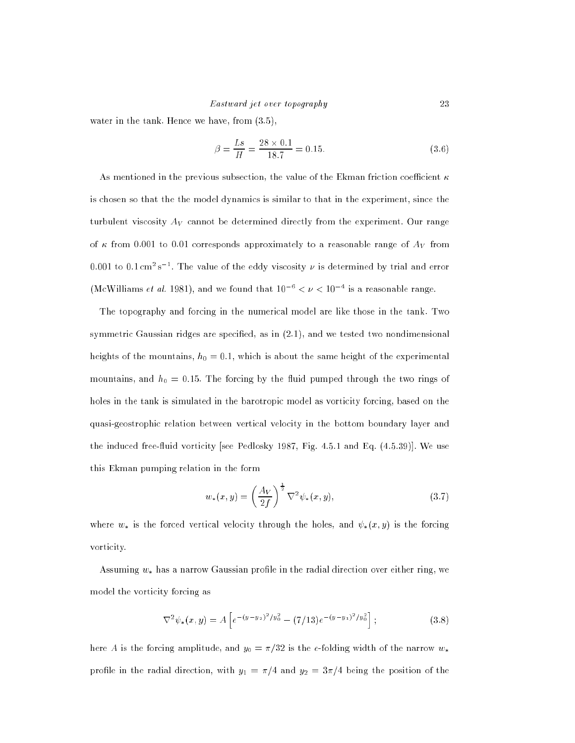water in the tank. Hence we have, from (3.5),

$$
\beta = \frac{Ls}{H} = \frac{28 \times 0.1}{18.7} = 0.15. \tag{3.6}
$$

As mentioned in the previous subsection, the value of the Ekman friction coefficient  $\kappa$ is chosen so that the the model dynamics is similar to that in the experiment, since the turbulent viscosity  $A_V$  cannot be determined directly from the experiment. Our range of  $\kappa$  from 0.001 to 0.01 corresponds approximately to a reasonable range of  $A_V$  from U.UUI to U.I cm~s  $\,$  . The value of the eddy viscosity  $\nu$  is determined by trial and error (McWilliams *et al.* 1981), and we found that  $10^{-6} < \nu < 10^{-4}$  is a reasonable range.

The topography and forcing in the numerical model are like those in the tank. Two symmetric Gaussian ridges are specified, as in  $(2.1)$ , and we tested two nondimensional heights of the mountains,  $h_0 = 0.1$ , which is about the same height of the experimental mountains, and  $h_0 = 0.15$ . The forcing by the fluid pumped through the two rings of holes in the tank is simulated in the barotropic model as vorticity forcing, based on the quasi-geostrophic relation between vertical velocity in the bottom boundary layer and the induced free-fluid vorticity [see Pedlosky 1987, Fig. 4.5.1 and Eq. (4.5.39)]. We use this Ekman pumping relation in the form

$$
w_*(x,y) = \left(\frac{A_V}{2f}\right)^{\frac{1}{2}} \nabla^2 \psi_*(x,y),\tag{3.7}
$$

where  $w_*$  is the forced vertical velocity through the holes, and  $\psi_*(x, y)$  is the forcing vorticity.

Assuming  $w_*$  has a narrow Gaussian profile in the radial direction over either ring, we model the vorticity forcing as

$$
\nabla^2 \psi_*(x, y) = A \left[ e^{-(y - y_2)^2 / y_0^2} - (7/13) e^{-(y - y_1)^2 / y_0^2} \right];
$$
\n(3.8)

here A is the forcing amplitude, and  $y_0 = \pi/32$  is the e-folding width of the narrow  $w_*$ profile in the radial direction, with  $y_1 = \pi/4$  and  $y_2 = 3\pi/4$  being the position of the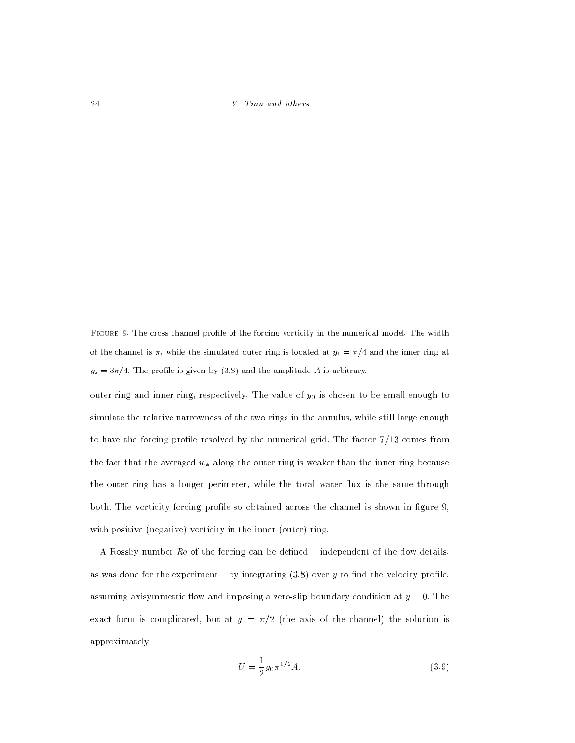FIGURE 9. The cross-channel profile of the forcing vorticity in the numerical model. The width of the channel is  $\pi$ , while the simulated outer ring is located at  $y_1 = \pi/4$  and the inner ring at  $y_2 = 3\pi/4$ . The profile is given by (3.8) and the amplitude A is arbitrary.

outer ring and inner ring, respectively. The value of  $y_0$  is chosen to be small enough to simulate the relative narrowness of the two rings in the annulus, while still large enough to have the forcing profile resolved by the numerical grid. The factor  $7/13$  comes from the fact that the averaged  $w_*$  along the outer ring is weaker than the inner ring because the outer ring has a longer perimeter, while the total water flux is the same through both. The vorticity forcing profile so obtained across the channel is shown in figure 9, with positive (negative) vorticity in the inner (outer) ring.

A Rossby number  $Ro$  of the forcing can be defined  $-$  independent of the flow details, as was done for the experiment – by integrating  $(3.8)$  over y to find the velocity profile, assuming axisymmetric flow and imposing a zero-slip boundary condition at  $y = 0$ . The exact form is complicated, but at  $y = \pi/2$  (the axis of the channel) the solution is approximately

$$
U = \frac{1}{2}y_0 \pi^{1/2} A,\tag{3.9}
$$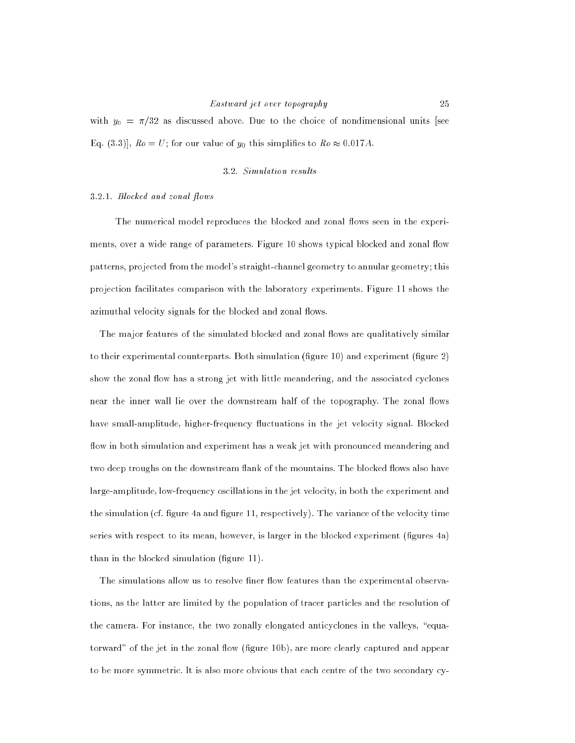# Eastward jet over topography 25

with  $y_0 = \pi/32$  as discussed above. Due to the choice of nondimensional units [see Eq. (3.3)],  $Ro = U$ ; for our value of  $y_0$  this simplifies to  $Ro \approx 0.017 A$ .

#### 3.2. Simulation results

#### 3.2.1. Blocked and zonal flows

The numerical model reproduces the blocked and zonal flows seen in the experiments, over a wide range of parameters. Figure 10 shows typical blocked and zonal flow patterns, projected from the model's straight-channel geometry to annular geometry; this projection facilitates comparison with the laboratory experiments. Figure 11 shows the azimuthal velocity signals for the blocked and zonal flows.

The major features of the simulated blocked and zonal flows are qualitatively similar to their experimental counterparts. Both simulation (figure  $10$ ) and experiment (figure  $2$ ) show the zonal flow has a strong jet with little meandering, and the associated cyclones near the inner wall lie over the downstream half of the topography. The zonal flows have small-amplitude, higher-frequency fluctuations in the jet velocity signal. Blocked flow in both simulation and experiment has a weak jet with pronounced meandering and two deep troughs on the downstream flank of the mountains. The blocked flows also have large-amplitude, low-frequency oscillations in the jet velocity, in both the experiment and the simulation (cf. figure 4a and figure 11, respectively). The variance of the velocity time series with respect to its mean, however, is larger in the blocked experiment (figures 4a) than in the blocked simulation (figure 11).

The simulations allow us to resolve finer flow features than the experimental observations, as the latter are limited by the population of tracer particles and the resolution of the camera. For instance, the two zonally elongated anticyclones in the valleys, "equatorward" of the jet in the zonal flow (figure 10b), are more clearly captured and appear to be more symmetric. It is also more obvious that each centre of the two secondary cy-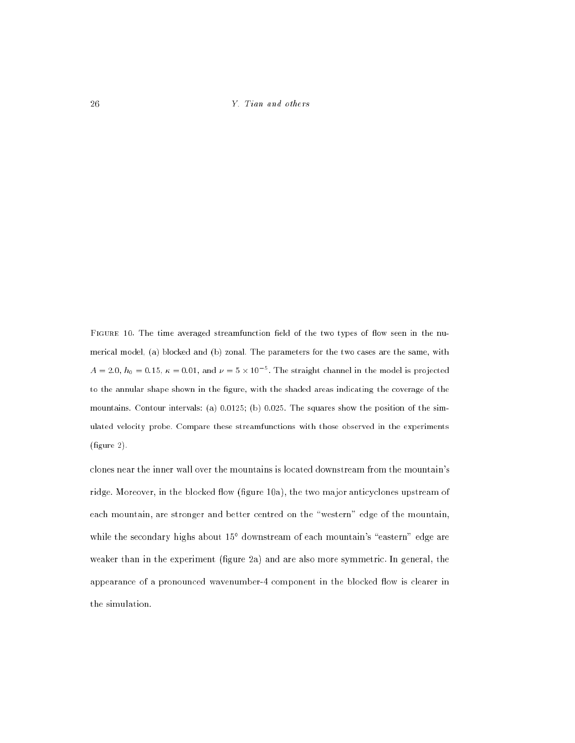FIGURE 10. The time averaged streamfunction field of the two types of flow seen in the numerical model, (a) blocked and (b) zonal. The parameters for the two cases are the same, with  $A = 2.0, h_0 = 0.15, \kappa = 0.01, \text{ and } \nu = 5 \times 10^{-5}$ . The straight channel in the model is projected to the annular shape shown in the figure, with the shaded areas indicating the coverage of the mountains. Contour intervals: (a) 0.0125; (b) 0.025. The squares show the position of the simulated velocity probe. Compare these streamfunctions with those observed in the experiments  $(figure 2)$ .

clones near the inner wall over the mountains is located downstream from the mountain's ridge. Moreover, in the blocked flow (figure 10a), the two major anticyclones upstream of each mountain, are stronger and better centred on the "western" edge of the mountain, while the secondary highs about 15° downstream of each mountain's "eastern" edge are weaker than in the experiment (figure  $2a$ ) and are also more symmetric. In general, the appearance of a pronounced wavenumber-4 component in the blocked flow is clearer in the simulation.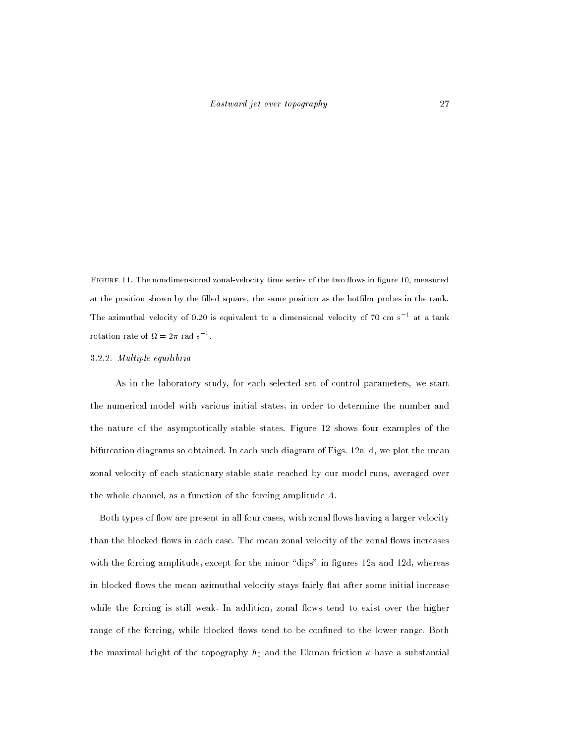FIGURE 11. The nondimensional zonal-velocity time series of the two flows in figure 10, measured at the position shown by the filled square, the same position as the hotfilm probes in the tank. The azimuthal velocity of 0.20 is equivalent to a dimensional velocity of 70 cm s  $^{\circ}$  at a tank rotation rate of  $M = 2\pi$  rad s  $^{-1}$ .

#### 3.2.2. Multiple equilibria

As in the laboratory study, for each selected set of control parameters, we start the numerical model with various initial states, in order to determine the number and the nature of the asymptotically stable states. Figure 12 shows four examples of the bifurcation diagrams so obtained. In each such diagram of Figs.  $12a-d$ , we plot the mean zonal velocity of each stationary stable state reached by our model runs, averaged over the whole channel, as a function of the forcing amplitude A.

Both types of flow are present in all four cases, with zonal flows having a larger velocity than the blocked flows in each case. The mean zonal velocity of the zonal flows increases with the forcing amplitude, except for the minor "dips" in figures 12a and 12d, whereas in blocked flows the mean azimuthal velocity stays fairly flat after some initial increase while the forcing is still weak. In addition, zonal flows tend to exist over the higher range of the forcing, while blocked flows tend to be confined to the lower range. Both the maximal height of the topography  $h_0$  and the Ekman friction  $\kappa$  have a substantial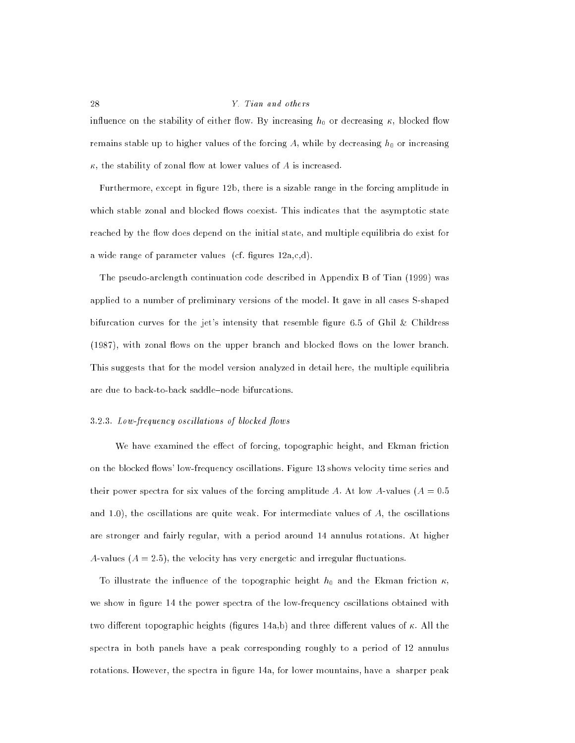influence on the stability of either flow. By increasing  $h_0$  or decreasing  $\kappa$ , blocked flow remains stable up to higher values of the forcing  $A$ , while by decreasing  $h_0$  or increasing  $\kappa$ , the stability of zonal flow at lower values of A is increased.

Furthermore, except in figure 12b, there is a sizable range in the forcing amplitude in which stable zonal and blocked flows coexist. This indicates that the asymptotic state reached by the flow does depend on the initial state, and multiple equilibria do exist for a wide range of parameter values (cf. figures  $12a, c, d$ ).

The pseudo-arclength continuation code described in Appendix B of Tian (1999) was applied to a number of preliminary versions of the model. It gave in all cases S-shaped bifurcation curves for the jet's intensity that resemble figure 6.5 of Ghil  $\&$  Childress (1987), with zonal flows on the upper branch and blocked flows on the lower branch. This suggests that for the model version analyzed in detail here, the multiple equilibria are due to back-to-back saddle-node bifurcations.

#### $3.2.3$ . Low-frequency oscillations of blocked flows

We have examined the effect of forcing, topographic height, and Ekman friction on the blocked flows' low-frequency oscillations. Figure 13 shows velocity time series and their power spectra for six values of the forcing amplitude A. At low A-values ( $A = 0.5$ ) and  $1.0$ ), the oscillations are quite weak. For intermediate values of  $A$ , the oscillations are stronger and fairly regular, with a period around 14 annulus rotations. At higher A-values  $(A = 2.5)$ , the velocity has very energetic and irregular fluctuations.

To illustrate the influence of the topographic height  $h_0$  and the Ekman friction  $\kappa$ , we show in figure 14 the power spectra of the low-frequency oscillations obtained with two different topographic heights (figures 14a,b) and three different values of  $\kappa$ . All the spectra in both panels have a peak corresponding roughly to a period of 12 annulus rotations. However, the spectra in figure 14a, for lower mountains, have a sharper peak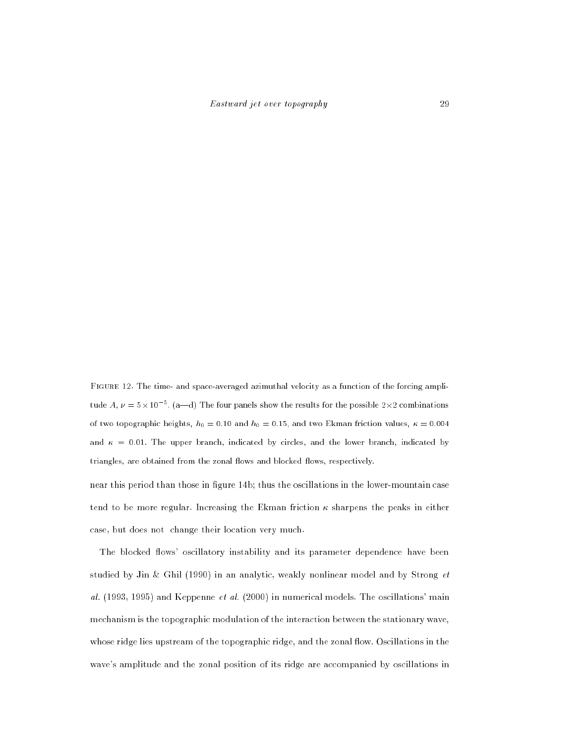Figure 12. The time- and space-averaged azimuthal velocity as a function of the forcing amplitude A,  $\nu = 5 \times 10^{-5}$ . (a—d) The four panels show the results for the possible 2×2 combinations of two topographic heights,  $h_0 = 0.10$  and  $h_0 = 0.15$ , and two Ekman friction values,  $\kappa = 0.004$ and  $\kappa = 0.01$ . The upper branch, indicated by circles, and the lower branch, indicated by triangles, are obtained from the zonal flows and blocked flows, respectively.

near this period than those in figure 14b; thus the oscillations in the lower-mountain case tend to be more regular. Increasing the Ekman friction  $\kappa$  sharpens the peaks in either case, but does not change their location very much.

The blocked flows' oscillatory instability and its parameter dependence have been studied by Jin & Ghil (1990) in an analytic, weakly nonlinear model and by Strong  $et$ al.  $(1993, 1995)$  and Keppenne *et al.*  $(2000)$  in numerical models. The oscillations' main mechanism is the topographic modulation of the interaction between the stationary wave, whose ridge lies upstream of the topographic ridge, and the zonal flow. Oscillations in the wave's amplitude and the zonal position of its ridge are accompanied by oscillations in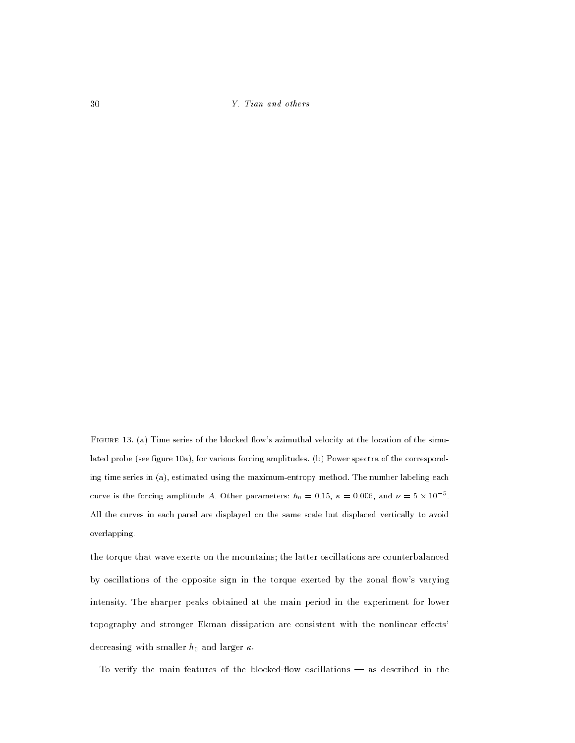FIGURE 13. (a) Time series of the blocked flow's azimuthal velocity at the location of the simulated probe (see figure 10a), for various forcing amplitudes. (b) Power spectra of the corresponding time series in (a), estimated using the maximum-entropy method. The number labeling each curve is the forcing amplitude A. Other parameters:  $h_0 = 0.15$ ,  $\kappa = 0.006$ , and  $\nu = 5 \times 10^{-5}$ . All the curves in each panel are displayed on the same scale but displaced vertically to avoid overlapping.

the torque that wave exerts on the mountains; the latter oscillations are counterbalanced by oscillations of the opposite sign in the torque exerted by the zonal flow's varying intensity. The sharper peaks obtained at the main period in the experiment for lower topography and stronger Ekman dissipation are consistent with the nonlinear effects' decreasing with smaller  $h_0$  and larger  $\kappa$ .

To verify the main features of the blocked-flow oscillations  $-$  as described in the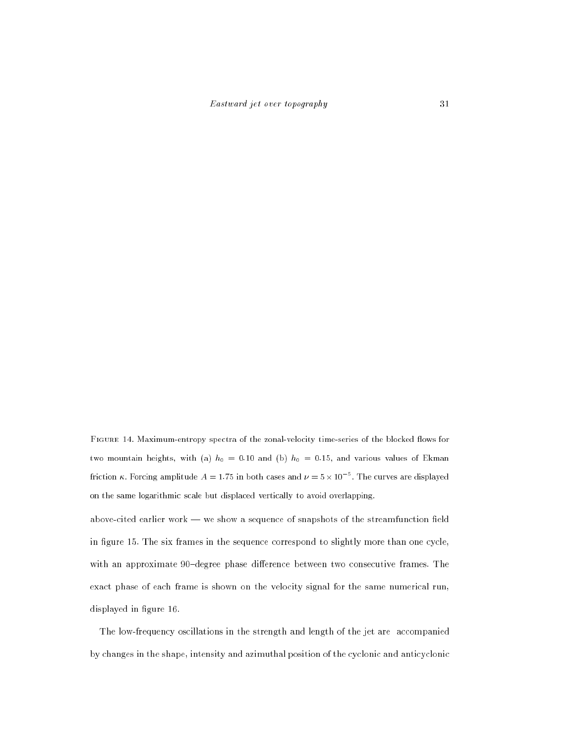FIGURE 14. Maximum-entropy spectra of the zonal-velocity time-series of the blocked flows for two mountain heights, with (a)  $h_0 = 0.10$  and (b)  $h_0 = 0.15$ , and various values of Ekman friction  $\kappa$ . Forcing amplitude  $A = 1.75$  in both cases and  $\nu = 5 \times 10^{-5}$ . The curves are displayed on the same logarithmic scale but displaced vertically to avoid overlapping.

above-cited earlier work  $-$  we show a sequence of snapshots of the streamfunction field in figure 15. The six frames in the sequence correspond to slightly more than one cycle, with an approximate 90-degree phase difference between two consecutive frames. The exact phase of each frame is shown on the velocity signal for the same numerical run, displayed in figure 16.

The low-frequency oscillations in the strength and length of the jet are accompanied by changes in the shape, intensity and azimuthal position of the cyclonic and anticyclonic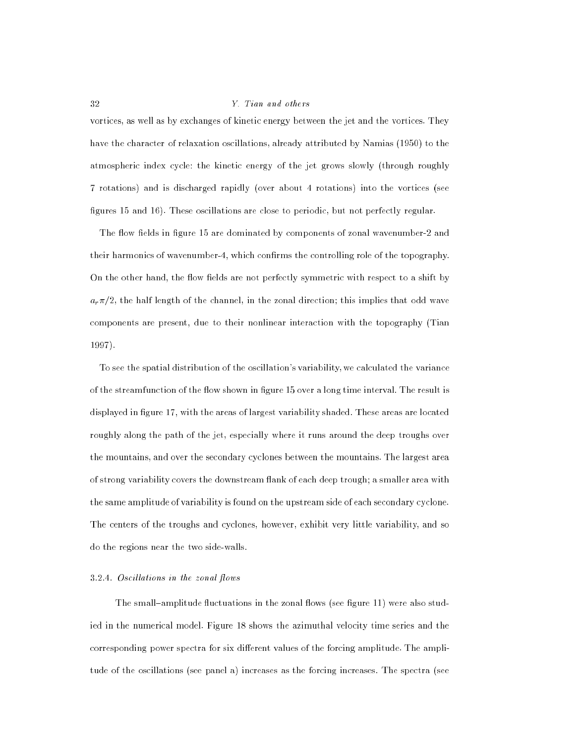vortices, as well as by exchanges of kinetic energy between the jet and the vortices. They have the character of relaxation oscillations, already attributed by Namias (1950) to the atmospheric index cycle: the kinetic energy of the jet grows slowly (through roughly 7 rotations) and is discharged rapidly (over about 4 rotations) into the vortices (see figures 15 and 16). These oscillations are close to periodic, but not perfectly regular.

The flow fields in figure 15 are dominated by components of zonal wavenumber-2 and their harmonics of wavenumber-4, which confirms the controlling role of the topography. On the other hand, the flow fields are not perfectly symmetric with respect to a shift by  $a_r\pi/2$ , the half length of the channel, in the zonal direction; this implies that odd wave components are present, due to their nonlinear interaction with the topography (Tian 1997).

To see the spatial distribution of the oscillation's variability, we calculated the variance of the streamfunction of the flow shown in figure 15 over a long time interval. The result is displayed in figure 17, with the areas of largest variability shaded. These areas are located roughly along the path of the jet, especially where it runs around the deep troughs over the mountains, and over the secondary cyclones between the mountains. The largest area of strong variability covers the downstream flank of each deep trough; a smaller area with the same amplitude of variability is found on the upstream side of each secondary cyclone. The centers of the troughs and cyclones, however, exhibit very little variability, and so do the regions near the two side-walls.

#### $3.2.4$  Oscillations in the zonal flows

The small-amplitude fluctuations in the zonal flows (see figure 11) were also studied in the numerical model. Figure 18 shows the azimuthal velocity time series and the corresponding power spectra for six different values of the forcing amplitude. The amplitude of the oscillations (see panel a) increases as the forcing increases. The spectra (see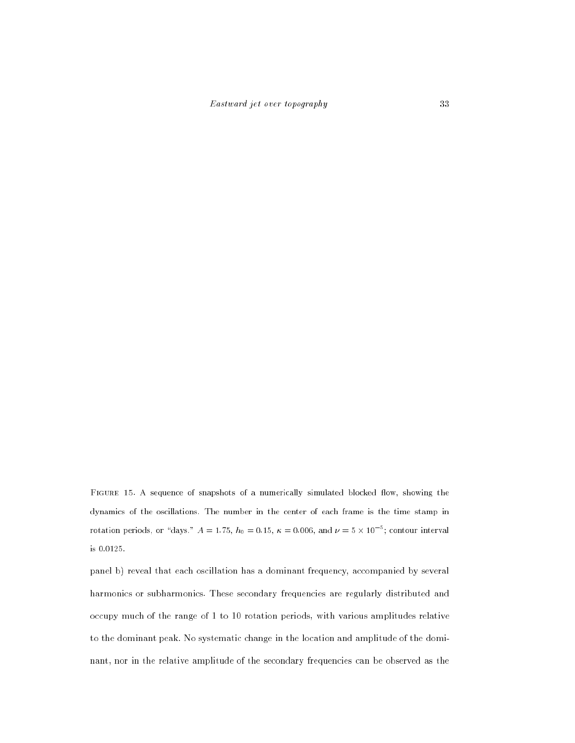FIGURE 15. A sequence of snapshots of a numerically simulated blocked flow, showing the dynamics of the oscillations. The number in the center of each frame is the time stamp in rotation periods, or "days."  $A = 1.75$ ,  $h_0 = 0.15$ ,  $\kappa = 0.006$ , and  $\nu = 5 \times 10^{-5}$ ; contour interval is 0.0125.

panel b) reveal that each oscillation has a dominant frequency, accompanied by several harmonics or subharmonics. These secondary frequencies are regularly distributed and occupy much of the range of 1 to 10 rotation periods, with various amplitudes relative to the dominant peak. No systematic change in the location and amplitude of the dominant, nor in the relative amplitude of the secondary frequencies can be observed as the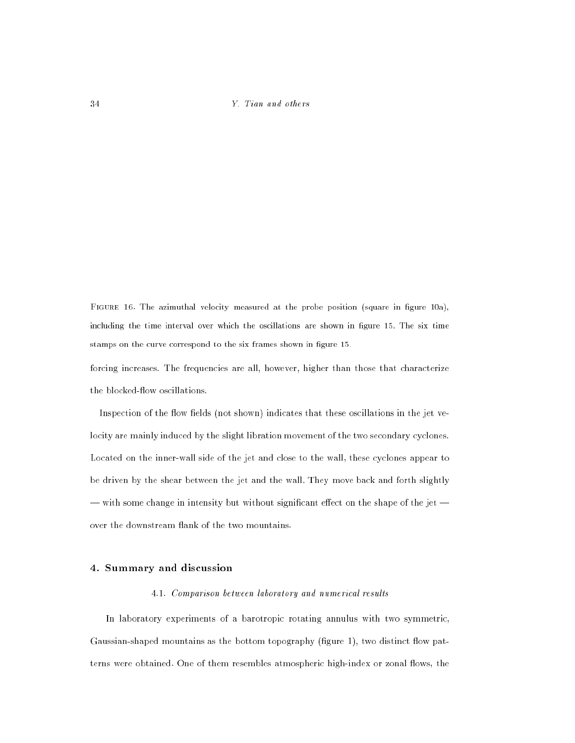FIGURE 16. The azimuthal velocity measured at the probe position (square in figure 10a), including the time interval over which the oscillations are shown in figure 15. The six time stamps on the curve correspond to the six frames shown in figure 15.

forcing increases. The frequencies are all, however, higher than those that characterize the blocked-flow oscillations.

Inspection of the flow fields (not shown) indicates that these oscillations in the jet velocity are mainly induced by the slight libration movement of the two secondary cyclones. Located on the inner-wall side of the jet and close to the wall, these cyclones appear to be driven by the shear between the jet and the wall. They move back and forth slightly  $-$  with some change in intensity but without significant effect on the shape of the jet  $$ over the downstream flank of the two mountains.

# 4. Summary and discussion

# 4.1. Comparison between laboratory and numerical results

In laboratory experiments of a barotropic rotating annulus with two symmetric, Gaussian-shaped mountains as the bottom topography  $f_{\text{figure}}$  1, two distinct flow patterns were obtained. One of them resembles atmospheric high-index or zonal flows, the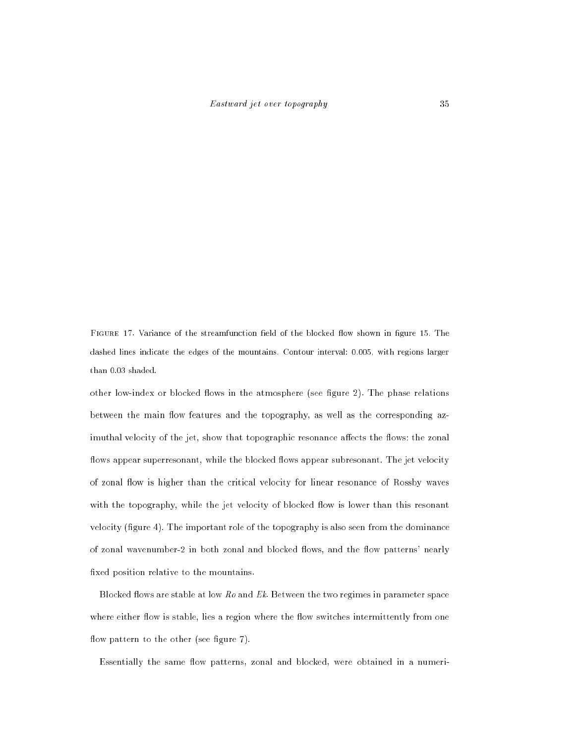FIGURE 17. Variance of the streamfunction field of the blocked flow shown in figure 15. The dashed lines indicate the edges of the mountains. Contour interval: 0.005, with regions larger than 0.03 shaded.

other low-index or blocked flows in the atmosphere (see figure 2). The phase relations between the main flow features and the topography, as well as the corresponding azimuthal velocity of the jet, show that topographic resonance affects the flows: the zonal flows appear superresonant, while the blocked flows appear subresonant. The jet velocity of zonal flow is higher than the critical velocity for linear resonance of Rossby waves with the topography, while the jet velocity of blocked flow is lower than this resonant velocity  $(f\)$ gure 4). The important role of the topography is also seen from the dominance of zonal wavenumber-2 in both zonal and blocked flows, and the flow patterns' nearly fixed position relative to the mountains.

Blocked flows are stable at low  $Ro$  and  $Ek$ . Between the two regimes in parameter space where either flow is stable, lies a region where the flow switches intermittently from one flow pattern to the other (see figure 7).

Essentially the same flow patterns, zonal and blocked, were obtained in a numeri-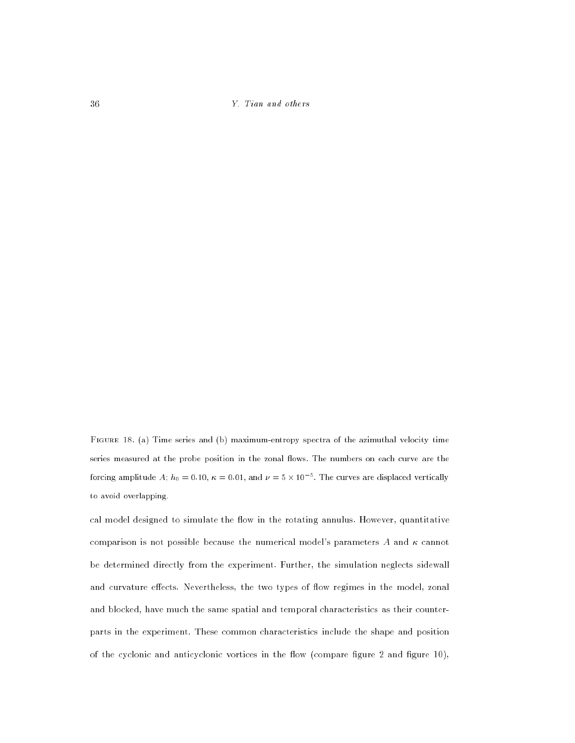Figure 18. (a) Time series and (b) maximum-entropy spectra of the azimuthal velocity time series measured at the probe position in the zonal flows. The numbers on each curve are the forcing amplitude A;  $h_0 = 0.10$ ,  $\kappa = 0.01$ , and  $\nu = 5 \times 10^{-5}$ . The curves are displaced vertically to avoid overlapping.

cal model designed to simulate the flow in the rotating annulus. However, quantitative comparison is not possible because the numerical model's parameters  $A$  and  $\kappa$  cannot be determined directly from the experiment. Further, the simulation neglects sidewall and curvature effects. Nevertheless, the two types of flow regimes in the model, zonal and blocked, have much the same spatial and temporal characteristics as their counterparts in the experiment. These common characteristics include the shape and position of the cyclonic and anticyclonic vortices in the flow (compare figure  $2$  and figure  $10$ ),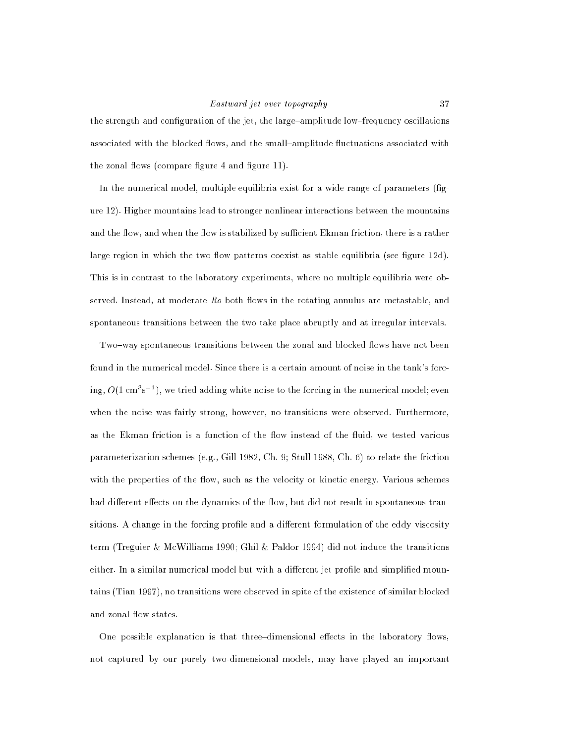# Eastward jet over topography 37

the strength and configuration of the jet, the large-amplitude low-frequency oscillations associated with the blocked flows, and the small-amplitude fluctuations associated with the zonal flows (compare figure  $4$  and figure  $11$ ).

In the numerical model, multiple equilibria exist for a wide range of parameters  $fig$ ure 12). Higher mountains lead to stronger nonlinear interactions between the mountains and the flow, and when the flow is stabilized by sufficient Ekman friction, there is a rather large region in which the two flow patterns coexist as stable equilibria (see figure  $12d$ ). This is in contrast to the laboratory experiments, where no multiple equilibria were observed. Instead, at moderate  $Ro$  both flows in the rotating annulus are metastable, and spontaneous transitions between the two take place abruptly and at irregular intervals.

Two-way spontaneous transitions between the zonal and blocked flows have not been found in the numerical model. Since there is a certain amount of noise in the tank's forcing,  $O(1 \text{ cm}^3 \text{s}^{-1})$ , we tried adding white noise to the forcing in the numerical model; even when the noise was fairly strong, however, no transitions were observed. Furthermore, as the Ekman friction is a function of the flow instead of the fluid, we tested various parameterization schemes (e.g., Gill 1982, Ch. 9; Stull 1988, Ch. 6) to relate the friction with the properties of the flow, such as the velocity or kinetic energy. Various schemes had different effects on the dynamics of the flow, but did not result in spontaneous transitions. A change in the forcing profile and a different formulation of the eddy viscosity term (Treguier & McWilliams 1990; Ghil & Paldor 1994) did not induce the transitions either. In a similar numerical model but with a different jet profile and simplified mountains (Tian 1997), no transitions were observed in spite of the existence of similar blocked and zonal flow states.

One possible explanation is that three-dimensional effects in the laboratory flows, not captured by our purely two-dimensional models, may have played an important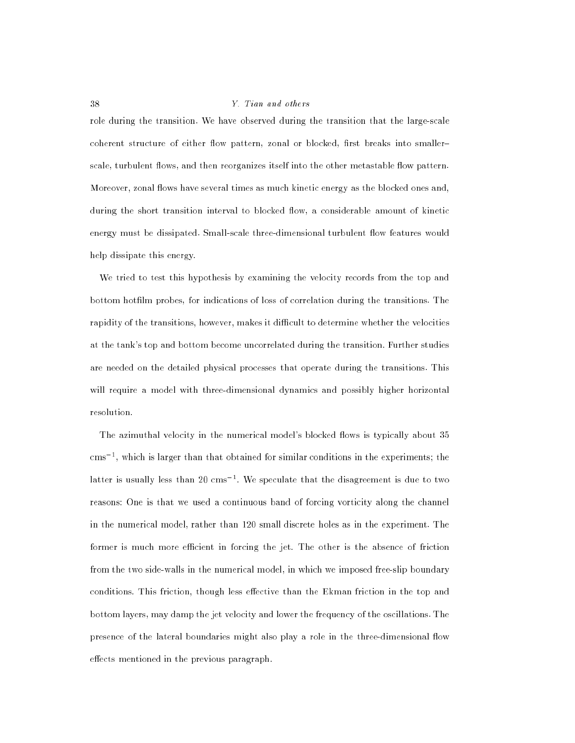role during the transition. We have observed during the transition that the large-scale coherent structure of either flow pattern, zonal or blocked, first breaks into smallerscale, turbulent flows, and then reorganizes itself into the other metastable flow pattern. Moreover, zonal flows have several times as much kinetic energy as the blocked ones and. during the short transition interval to blocked flow, a considerable amount of kinetic energy must be dissipated. Small-scale three-dimensional turbulent flow features would help dissipate this energy.

We tried to test this hypothesis by examining the velocity records from the top and bottom hotlm probes, for indications of loss of correlation during the transitions. The rapidity of the transitions, however, makes it difficult to determine whether the velocities at the tank's top and bottom become uncorrelated during the transition. Further studies are needed on the detailed physical processes that operate during the transitions. This will require a model with three-dimensional dynamics and possibly higher horizontal resolution.

The azimuthal velocity in the numerical model's blocked flows is typically about 35 cms ", which is larger than that obtained for similar conditions in the experiments; the latter is usually less than 20 cms to we speculate that the disagreement is due to two reasons: One is that we used a continuous band of forcing vorticity along the channel in the numerical model, rather than 120 small discrete holes as in the experiment. The former is much more efficient in forcing the jet. The other is the absence of friction from the two side-walls in the numerical model, in which we imposed free-slip boundary conditions. This friction, though less effective than the Ekman friction in the top and bottom layers, may damp the jet velocity and lower the frequency of the oscillations. The presence of the lateral boundaries might also play a role in the three-dimensional flow effects mentioned in the previous paragraph.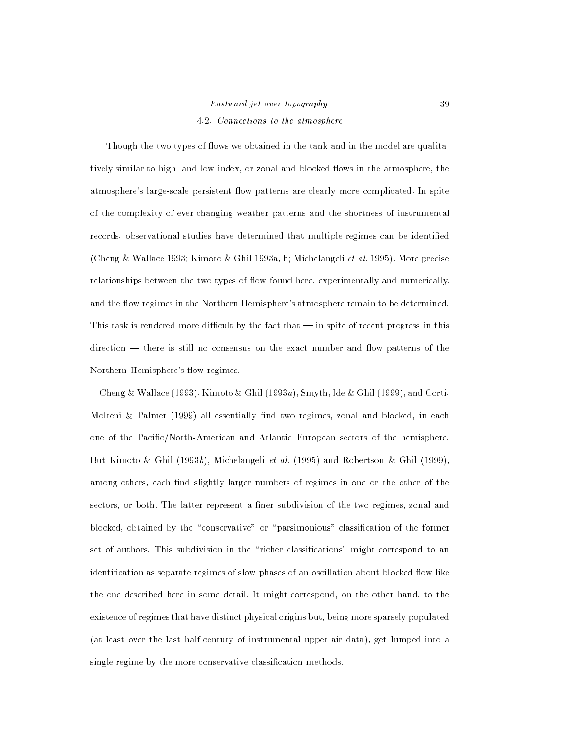# Eastward jet over topography 39 4.2. Connections to the atmosphere

Though the two types of flows we obtained in the tank and in the model are qualitatively similar to high- and low-index, or zonal and blocked flows in the atmosphere, the atmosphere's large-scale persistent flow patterns are clearly more complicated. In spite of the complexity of ever-changing weather patterns and the shortness of instrumental records, observational studies have determined that multiple regimes can be identied (Cheng & Wallace 1993; Kimoto & Ghil 1993a, b; Michelangeli et al. 1995). More precise relationships between the two types of flow found here, experimentally and numerically, and the flow regimes in the Northern Hemisphere's atmosphere remain to be determined. This task is rendered more difficult by the fact that  $-$  in spite of recent progress in this  $direction$  — there is still no consensus on the exact number and flow patterns of the Northern Hemisphere's flow regimes.

Cheng & Wallace (1993), Kimoto & Ghil (1993a), Smyth, Ide & Ghil (1999), and Corti, Molteni  $\&$  Palmer (1999) all essentially find two regimes, zonal and blocked, in each one of the Pacific/North-American and Atlantic-European sectors of the hemisphere. But Kimoto & Ghil (1993b), Michelangeli et al. (1995) and Robertson & Ghil (1999), among others, each find slightly larger numbers of regimes in one or the other of the sectors, or both. The latter represent a finer subdivision of the two regimes, zonal and blocked, obtained by the "conservative" or "parsimonious" classification of the former set of authors. This subdivision in the "richer classifications" might correspond to an identification as separate regimes of slow phases of an oscillation about blocked flow like the one described here in some detail. It might correspond, on the other hand, to the existence of regimes that have distinct physical origins but, being more sparsely populated (at least over the last half-century of instrumental upper-air data), get lumped into a single regime by the more conservative classication methods.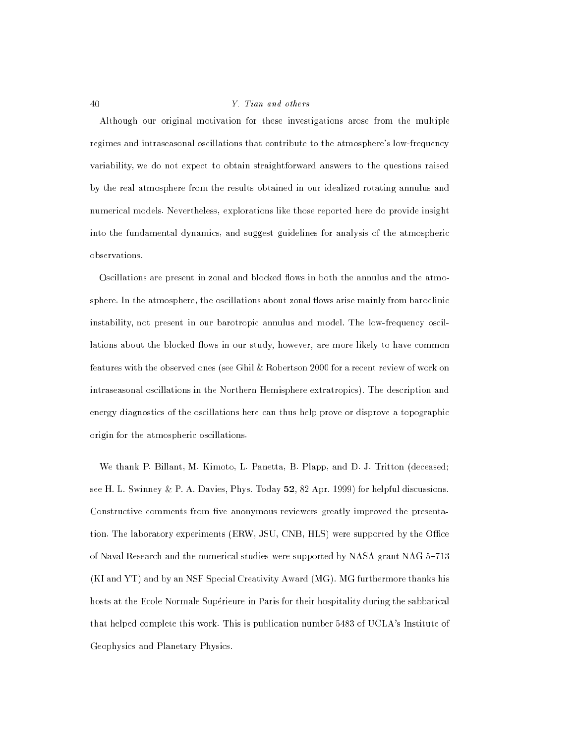Although our original motivation for these investigations arose from the multiple regimes and intraseasonal oscillations that contribute to the atmosphere's low-frequency variability, we do not expect to obtain straightforward answers to the questions raised by the real atmosphere from the results obtained in our idealized rotating annulus and numerical models. Nevertheless, explorations like those reported here do provide insight into the fundamental dynamics, and suggest guidelines for analysis of the atmospheric observations.

Oscillations are present in zonal and blocked flows in both the annulus and the atmosphere. In the atmosphere, the oscillations about zonal flows arise mainly from baroclinic instability, not present in our barotropic annulus and model. The low-frequency oscillations about the blocked flows in our study, however, are more likely to have common features with the observed ones (see Ghil & Robertson 2000 for a recent review of work on intraseasonal oscillations in the Northern Hemisphere extratropics). The description and energy diagnostics of the oscillations here can thus help prove or disprove a topographic origin for the atmospheric oscillations.

We thank P. Billant, M. Kimoto, L. Panetta, B. Plapp, and D. J. Tritton (deceased; see H. L. Swinney & P. A. Davies, Phys. Today 52, 82 Apr. 1999) for helpful discussions. Constructive comments from five anonymous reviewers greatly improved the presentation. The laboratory experiments (ERW, JSU, CNB, HLS) were supported by the Office of Naval Research and the numerical studies were supported by NASA grant NAG 5-713 (KI and YT) and by an NSF Special Creativity Award (MG). MG furthermore thanks his hosts at the Ecole Normale Superieure in Paris for their hospitality during the sabbatical that helped complete this work. This is publication number 5483 of UCLA's Institute of Geophysics and Planetary Physics.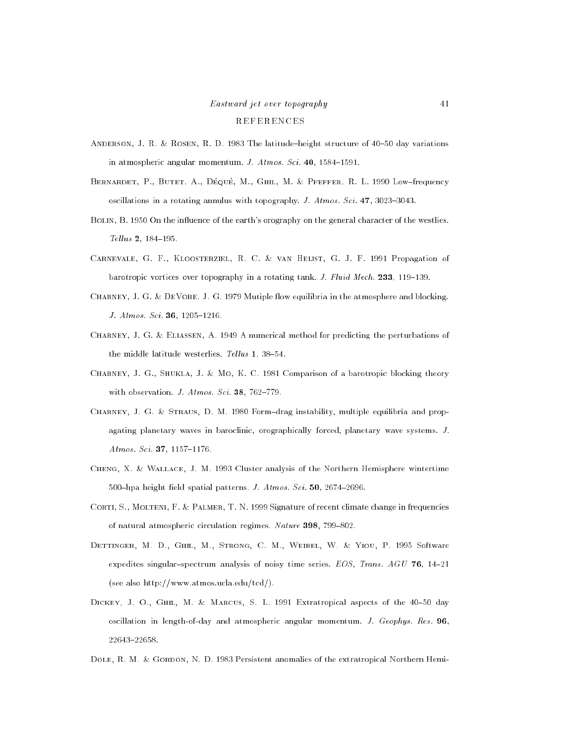# Eastward jet over topography 41 REFERENCES

- ANDERSON, J. R. & ROSEN, R. D. 1983 The latitude-height structure of  $40-50$  day variations in atmospheric angular momentum. J.  $Atmos. Sci. 40, 1584-1591.$
- BERNARDET, P., BUTET, A., DÉQUÉ, M., GHIL, M. & PFEFFER, R. L. 1990 Low-frequency oscillations in a rotating annulus with topography. J. Atmos. Sci. 47, 3023-3043.
- BOLIN, B. 1950 On the influence of the earth's orography on the general character of the westlies.  $Tellus 2, 184–195.$
- Carnevale, G. F., Kloosterziel, R. C. & van Heijst, G. J. F. 1991 Propagation of barotropic vortices over topography in a rotating tank. J. Fluid Mech. 233, 119-139.
- CHARNEY, J. G. & DEVORE, J. G. 1979 Mutiple flow equilibria in the atmosphere and blocking. J. Atmos. Sci. 36, 1205-1216.
- Charney, J. G. & Eliassen, A. 1949 A numerical method for predicting the perturbations of the middle latitude westerlies. Tellus 1, 38-54.
- CHARNEY, J. G., SHUKLA, J. & MO, K. C. 1981 Comparison of a barotropic blocking theory with observation. J. Atmos. Sci. 38, 762-779.
- CHARNEY, J. G. & STRAUS, D. M. 1980 Form-drag instability, multiple equilibria and propagating planetary waves in baroclinic, orographically forced, planetary wave systems. J.  $Atmos. Sci. 37, 1157–1176.$
- Cheng, X. & Wallace, J. M. 1993 Cluster analysis of the Northern Hemisphere wintertime 500-hpa height field spatial patterns. J. Atmos. Sci.  $50$ , 2674-2696.
- CORTI, S., MOLTENI, F. & PALMER, T. N. 1999 Signature of recent climate change in frequencies of natural atmospheric circulation regimes. Nature 398, 799-802.
- DETTINGER, M. D., GHIL, M., STRONG, C. M., WEIBEL, W. & YIOU, P. 1995 Software expedites singular-spectrum analysis of noisy time series. EOS, Trans. AGU 76, 14-21 (see also http://www.atmos.ucla.edu/tcd/).
- DICKEY, J. O., GHIL, M. & MARCUS, S. L. 1991 Extratropical aspects of the 40-50 day oscillation in length-of-day and atmospheric angular momentum. J. Geophys. Res. 96, 22643-22658.
- DOLE, R. M. & GORDON, N. D. 1983 Persistent anomalies of the extratropical Northern Hemi-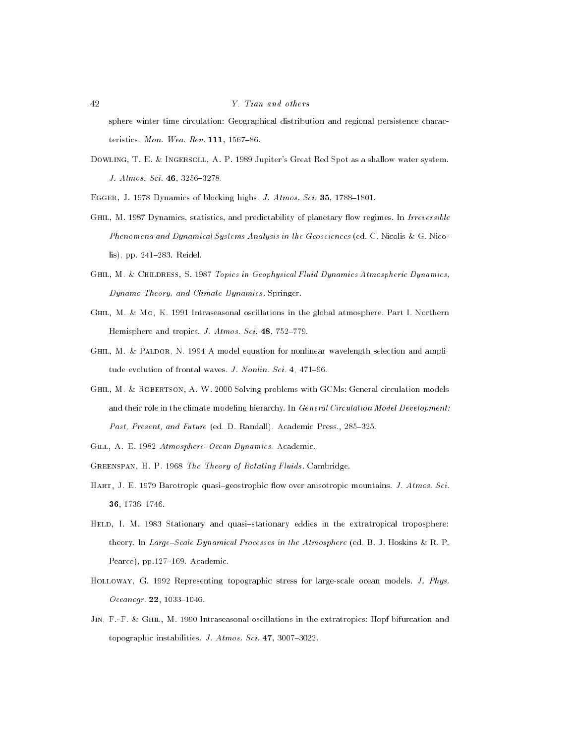sphere winter time circulation: Geographical distribution and regional persistence characteristics. Mon. Wea. Rev.  $111, 1567-86$ .

Dowling, T. E. & Ingersoll, A. P. 1989 Jupiter's Great Red Spot as a shallow water system. J. Atmos. Sci. 46, 3256-3278.

EGGER, J. 1978 Dynamics of blocking highs. J. Atmos. Sci. 35, 1788-1801.

- GHIL, M. 1987 Dynamics, statistics, and predictability of planetary flow regimes. In Irreversible Phenomena and Dynamical Systems Analysis in the Geosciences (ed. C. Nicolis & G. Nicolis), pp. 241-283. Reidel.
- GHIL, M. & CHILDRESS, S. 1987 Topics in Geophysical Fluid Dynamics Atmospheric Dynamics, Dynamo Theory, and Climate Dynamics . Springer.
- Ghil, M. & Mo, K. 1991 Intraseasonal oscillations in the global atmosphere. Part I. Northern Hemisphere and tropics. *J. Atmos. Sci.* 48, 752-779.
- GHIL, M. & PALDOR, N. 1994 A model equation for nonlinear wavelength selection and amplitude evolution of frontal waves. *J. Nonlin. Sci.* 4,  $471-96$ .
- GHIL, M. & ROBERTSON, A. W. 2000 Solving problems with GCMs: General circulation models and their role in the climate modeling hierarchy. In General Circulation Model Development: Past, Present, and Future (ed. D. Randall). Academic Press., 285-325.
- GILL, A. E. 1982 Atmosphere-Ocean Dynamics. Academic.
- GREENSPAN, H. P. 1968 The Theory of Rotating Fluids. Cambridge.
- HART, J. E. 1979 Barotropic quasi-geostrophic flow over anisotropic mountains. J. Atmos. Sci. 36, 1736-1746.
- HELD, I. M. 1983 Stationary and quasi-stationary eddies in the extratropical troposphere: theory. In Large-Scale Dynamical Processes in the Atmosphere (ed. B. J. Hoskins & R. P. Pearce), pp.127-169. Academic.
- HOLLOWAY, G. 1992 Representing topographic stress for large-scale ocean models. J. Phys.  $Oceanogr. 22, 1033–1046.$
- JIN, F.-F. & GHIL, M. 1990 Intraseasonal oscillations in the extratropics: Hopf bifurcation and topographic instabilities.  $J. Atmos. Sci. 47, 3007-3022.$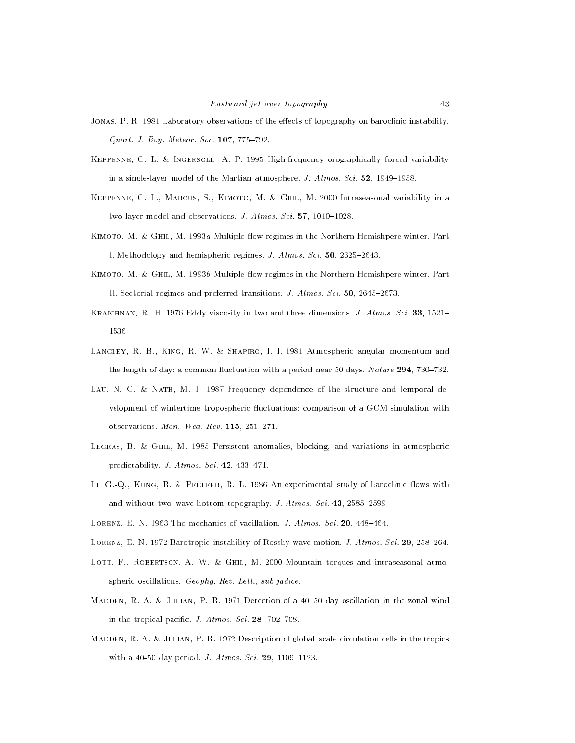- JONAS, P. R. 1981 Laboratory observations of the effects of topography on baroclinic instability.  $Quart. J. Roy. Meteor. Soc. 107, 775-792.$
- Keppenne, C. L. & Ingersoll, A. P. 1995 High-frequency orographically forced variability in a single-layer model of the Martian atmosphere. *J. Atmos. Sci.*  $52$ , 1949–1958.
- Keppenne, C. L., Marcus, S., Kimoto, M. & Ghil, M. 2000 Intraseasonal variability in a two-layer model and observations. J.  $Atmos. Sci. 57, 1010{-}1028.$
- KIMOTO, M. & GHIL, M. 1993a Multiple flow regimes in the Northern Hemishpere winter. Part I. Methodology and hemispheric regimes. *J. Atmos. Sci.* 50, 2625-2643.
- KIMOTO, M. & GHIL, M. 1993b Multiple flow regimes in the Northern Hemishpere winter. Part II. Sectorial regimes and preferred transitions. J. Atmos. Sci. 50, 2645-2673.
- KRAICHNAN, R. H. 1976 Eddy viscosity in two and three dimensions. J. Atmos. Sci. 33, 1521– 1536.
- LANGLEY, R. B., KING, R. W. & SHAPIRO, I. I. 1981 Atmospheric angular momentum and the length of day: a common fluctuation with a period near 50 days. Nature  $294$ , 730-732.
- Lau, N. C. & Nath, M. J. 1987 Frequency dependence of the structure and temporal development of wintertime tropospheric fluctuations: comparison of a GCM simulation with observations. Mon. Wea. Rev.  $115$ ,  $251–271$ .
- Legras, B. & Ghil, M. 1985 Persistent anomalies, blocking, and variations in atmospheric predictability. J. Atmos. Sci. 42, 433-471.
- LI, G.-Q., KUNG, R. & PFEFFER, R. L. 1986 An experimental study of baroclinic flows with and without two-wave bottom topography. J. Atmos. Sci. 43, 2585-2599.
- LORENZ, E. N. 1963 The mechanics of vacillation. *J. Atmos. Sci.* 20, 448-464.
- LORENZ, E. N. 1972 Barotropic instability of Rossby wave motion. J. Atmos. Sci. 29, 258-264.
- LOTT, F., ROBERTSON, A. W. & GHIL, M. 2000 Mountain torques and intraseasonal atmospheric oscillations. Geophy. Rev. Lett., sub judice.
- MADDEN, R. A. & JULIAN, P. R. 1971 Detection of a 40-50 day oscillation in the zonal wind in the tropical pacific.  $J. Atmos. Sci. 28, 702–708.$
- MADDEN, R. A. & JULIAN, P. R. 1972 Description of global-scale circulation cells in the tropics with a 40-50 day period. *J. Atmos. Sci.* 29, 1109-1123.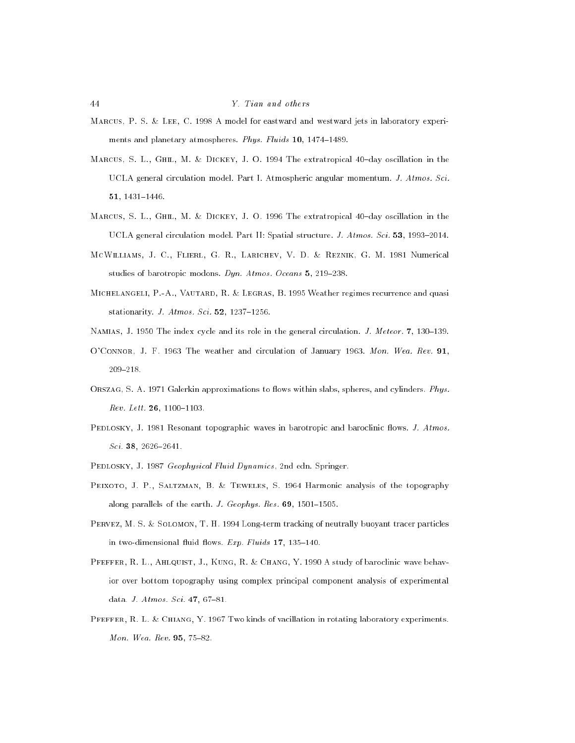- Marcus, P. S. & Lee, C. 1998 A model for eastward and westward jets in laboratory experiments and planetary atmospheres. Phys. Fluids  $10$ ,  $1474-1489$ .
- MARCUS, S. L., GHIL, M. & DICKEY, J. O. 1994 The extratropical 40-day oscillation in the UCLA general circulation model. Part I. Atmospheric angular momentum. J. Atmos. Sci. 51, 1431-1446.
- MARCUS, S. L., GHIL, M. & DICKEY, J. O. 1996 The extratropical 40-day oscillation in the UCLA general circulation model. Part II: Spatial structure. *J. Atmos. Sci.* 53, 1993-2014.
- McWilliams, J. C., Flierl, G. R., Larichev, V. D. & Reznik, G. M. 1981 Numerical studies of barotropic modons. Dyn. Atmos. Oceans  $5, 219-238$ .
- Michelangeli, P.-A., Vautard, R. & Legras, B. 1995 Weather regimes recurrence and quasi stationarity. J. Atmos. Sci.  $52$ , 1237-1256.
- NAMIAS, J. 1950 The index cycle and its role in the general circulation. *J. Meteor.* 7, 130–139.
- O'CONNOR, J. F. 1963 The weather and circulation of January 1963. Mon. Wea. Rev. 91,
- ORSZAG, S. A. 1971 Galerkin approximations to flows within slabs, spheres, and cylinders. Phys.  $Rev. Let t. 26, 1100-1103.$
- PEDLOSKY, J. 1981 Resonant topographic waves in barotropic and baroclinic flows. J. Atmos.  $Sci.$  38, 2626-2641.
- PEDLOSKY, J. 1987 Geophysical Fluid Dynamics, 2nd edn. Springer.
- PEIXOTO, J. P., SALTZMAN, B. & TEWELES, S. 1964 Harmonic analysis of the topography along parallels of the earth. J. Geophys. Res.  $69$ , 1501-1505.
- Pervez, M. S. & Solomon, T. H. 1994 Long-term tracking of neutrally buoyant tracer particles in two-dimensional fluid flows. Exp. Fluids  $17$ ,  $135–140$ .
- PFEFFER, R. L., AHLQUIST, J., KUNG, R. & CHANG, Y. 1990 A study of baroclinic wave behavior over bottom topography using complex principal component analysis of experimental data. J. Atmos. Sci. 47, 67-81.
- Pfeffer, R. L. & Chiang, Y. 1967 Two kinds of vacillation in rotating laboratory experiments. Mon. Wea. Rev.  $95, 75{-}82.$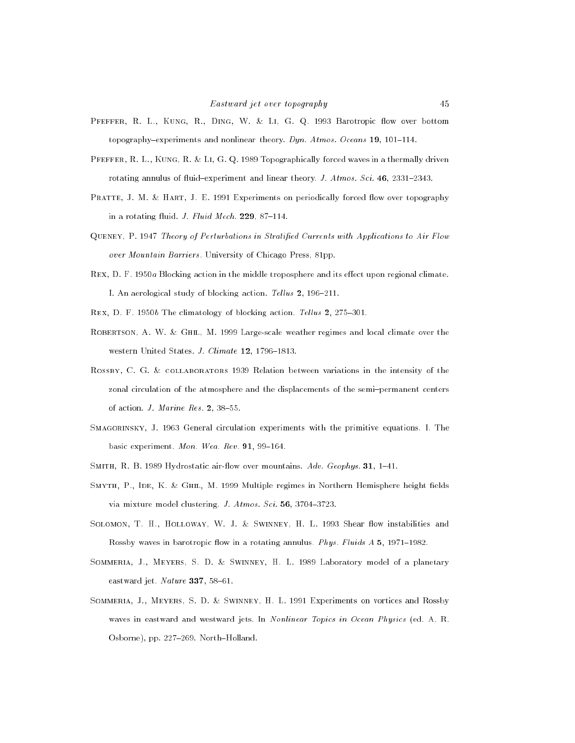- PFEFFER, R. L., KUNG, R., DING, W. & LI, G. Q. 1993 Barotropic flow over bottom topography-experiments and nonlinear theory. Dyn. Atmos. Oceans 19, 101-114.
- Pfeffer, R. L., Kung, R. & Li, G. Q. 1989 Topographically forced waves in a thermally driven rotating annulus of fluid-experiment and linear theory. J. Atmos. Sci. 46, 2331-2343.
- PRATTE, J. M. & HART, J. E. 1991 Experiments on periodically forced flow over topography in a rotating fluid. J. Fluid Mech.  $229$ , 87-114.
- Queney, P. 1947 Theory of Perturbations in Stratied Currents with Applications to Air Flow over Mountain Barriers . University of Chicago Press, 81pp.
- REX, D. F. 1950a Blocking action in the middle troposphere and its effect upon regional climate. I. An aerological study of blocking action. Tellus  $2$ , 196-211.
- REX, D. F. 1950b The climatology of blocking action. Tellus 2, 275-301.
- ROBERTSON, A. W. & GHIL, M. 1999 Large-scale weather regimes and local climate over the western United States. J. Climate 12, 1796-1813.
- ROSSBY, C. G. & COLLABORATORS 1939 Relation between variations in the intensity of the zonal circulation of the atmosphere and the displacements of the semi-permanent centers of action.  $J.$  Marine Res. 2, 38-55.
- SMAGORINSKY, J. 1963 General circulation experiments with the primitive equations. I. The basic experiment. Mon. Wea. Rev.  $91, 99-164$ .
- SMITH, R. B. 1989 Hydrostatic air-flow over mountains.  $Adv. Geophys.$  31, 1-41.
- SMYTH, P., IDE, K. & GHIL, M. 1999 Multiple regimes in Northern Hemisphere height fields via mixture model clustering.  $J. Atmos. Sci. 56, 3704-3723.$
- SOLOMON, T. H., HOLLOWAY, W. J. & SWINNEY, H. L. 1993 Shear flow instabilities and Rossby waves in barotropic flow in a rotating annulus. Phys. Fluids A 5, 1971-1982.
- Sommeria, J., Meyers, S. D. & Swinney, H. L. 1989 Laboratory model of a planetary eastward jet.  $Nature$  337, 58-61.
- Sommeria, J., Meyers, S. D. & Swinney, H. L. 1991 Experiments on vortices and Rossby waves in eastward and westward jets. In Nonlinear Topics in Ocean Physics (ed. A. R. Osborne), pp. 227-269. North-Holland.